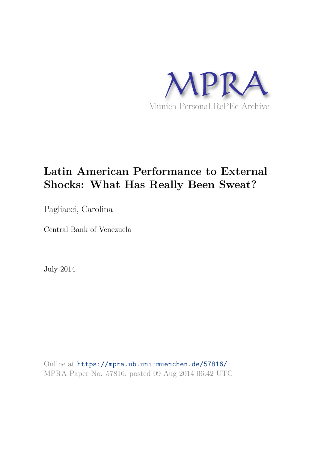

# **Latin American Performance to External Shocks: What Has Really Been Sweat?**

Pagliacci, Carolina

Central Bank of Venezuela

July 2014

Online at https://mpra.ub.uni-muenchen.de/57816/ MPRA Paper No. 57816, posted 09 Aug 2014 06:42 UTC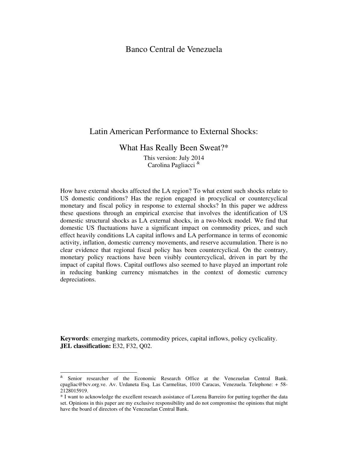# Banco Central de Venezuela

# Latin American Performance to External Shocks:

What Has Really Been Sweat?\*

This version: July 2014 Carolina Pagliacci &

How have external shocks affected the LA region? To what extent such shocks relate to US domestic conditions? Has the region engaged in procyclical or countercyclical monetary and fiscal policy in response to external shocks? In this paper we address these questions through an empirical exercise that involves the identification of US domestic structural shocks as LA external shocks, in a two-block model. We find that domestic US fluctuations have a significant impact on commodity prices, and such effect heavily conditions LA capital inflows and LA performance in terms of economic activity, inflation, domestic currency movements, and reserve accumulation. There is no clear evidence that regional fiscal policy has been countercyclical. On the contrary, monetary policy reactions have been visibly countercyclical, driven in part by the impact of capital flows. Capital outflows also seemed to have played an important role in reducing banking currency mismatches in the context of domestic currency depreciations.

**Keywords**: emerging markets, commodity prices, capital inflows, policy cyclicality. **JEL classification:** E32, F32, Q02.

 & Senior researcher of the Economic Research Office at the Venezuelan Central Bank. cpagliac@bcv.org.ve. Av. Urdaneta Esq. Las Carmelitas, 1010 Caracas, Venezuela. Telephone: + 58- 2128015919.

<sup>\*</sup> I want to acknowledge the excellent research assistance of Lorena Barreiro for putting together the data set. Opinions in this paper are my exclusive responsibility and do not compromise the opinions that might have the board of directors of the Venezuelan Central Bank.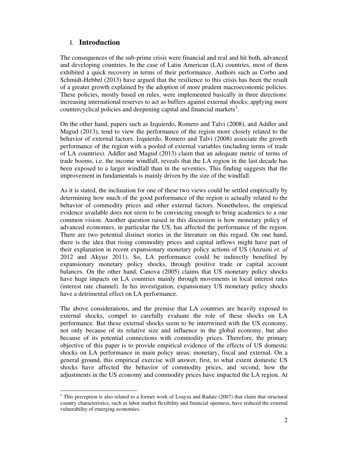# I. **Introduction**

The consequences of the sub-prime crisis were financial and real and hit both, advanced and developing countries. In the case of Latin American (LA) countries, most of them exhibited a quick recovery in terms of their performance. Authors such as Corbo and Schmidt-Hebbel (2013) have argued that the resilience to this crisis has been the result of a greater growth explained by the adoption of more prudent macroeconomic policies. These policies, mostly based on rules, were implemented basically in three directions: increasing international reserves to act as buffers against external shocks; applying more countercyclical policies and deepening capital and financial markets<sup>1</sup>.

On the other hand, papers such as Izquierdo, Romero and Talvi (2008), and Addler and Magud (2013), tend to view the performance of the region more closely related to the behavior of external factors. Izquierdo, Romero and Talvi (2008) associate the growth performance of the region with a pooled of external variables (including terms of trade of LA countries). Addler and Magud (2013) claim that an adequate metric of terms of trade booms, i.e. the income windfall, reveals that the LA region in the last decade has been exposed to a larger windfall than in the seventies. This finding suggests that the improvement in fundamentals is mainly driven by the size of the windfall.

As it is stated, the inclination for one of these two views could be settled empirically by determining how much of the good performance of the region is actually related to the behavior of commodity prices and other external factors. Nonetheless, the empirical evidence available does not seem to be convincing enough to bring academics to a one common vision. Another question raised in this discussion is how monetary policy of advanced economies, in particular the US, has affected the performance of the region. There are two potential distinct stories in the literature on this regard. On one hand, there is the idea that rising commodity prices and capital inflows might have part of their explanation in recent expansionary monetary policy actions of US (Anzuini *et. al* 2012 and Akyuz 2011). So, LA performance could be indirectly benefited by expansionary monetary policy shocks, through positive trade or capital account balances. On the other hand, Canova (2005) claims that US monetary policy shocks have huge impacts on LA countries mainly through movements in local interest rates (interest rate channel). In his investigation, expansionary US monetary policy shocks have a detrimental effect on LA performance.

The above considerations, and the premise that LA countries are heavily exposed to external shocks, compel to carefully evaluate the role of these shocks on LA performance. But these external shocks seem to be intertwined with the US economy, not only because of its relative size and influence in the global economy, but also because of its potential connections with commodity prices. Therefore, the primary objective of this paper is to provide empirical evidence of the effects of US domestic shocks on LA performance in main policy areas: monetary, fiscal and external. On a general ground, this empirical exercise will answer, first, to what extent domestic US shocks have affected the behavior of commodity prices, and second, how the adjustments in the US economy and commodity prices have impacted the LA region. At

<sup>&</sup>lt;sup>1</sup> This perception is also related to a former work of Loayza and Radatz (2007) that claim that structural country characteristics, such as labor market flexibility and financial openness, have reduced the external vulnerability of emerging economies.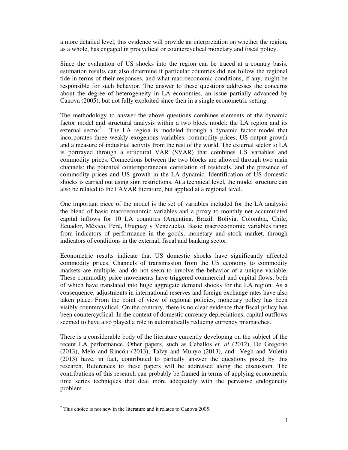a more detailed level, this evidence will provide an interpretation on whether the region, as a whole, has engaged in procyclical or countercyclical monetary and fiscal policy.

Since the evaluation of US shocks into the region can be traced at a country basis, estimation results can also determine if particular countries did not follow the regional tide in terms of their responses, and what macroeconomic conditions, if any, might be responsible for such behavior. The answer to these questions addresses the concerns about the degree of heterogeneity in LA economies, an issue partially advanced by Canova (2005), but not fully exploited since then in a single econometric setting.

The methodology to answer the above questions combines elements of the dynamic factor model and structural analysis within a two block model: the LA region and its external sector<sup>2</sup>. The LA region is modeled through a dynamic factor model that incorporates three weakly exogenous variables: commodity prices, US output growth and a measure of industrial activity from the rest of the world. The external sector to LA is portrayed through a structural VAR (SVAR) that combines US variables and commodity prices. Connections between the two blocks are allowed through two main channels: the potential contemporaneous correlation of residuals, and the presence of commodity prices and US growth in the LA dynamic. Identification of US domestic shocks is carried out using sign restrictions. At a technical level, the model structure can also be related to the FAVAR literature, but applied at a regional level.

One important piece of the model is the set of variables included for the LA analysis: the blend of basic macroeconomic variables and a proxy to monthly net accumulated capital inflows for 10 LA countries (Argentina, Brazil, Bolivia, Colombia, Chile, Ecuador, México, Perú, Uruguay y Venezuela). Basic macroeconomic variables range from indicators of performance in the goods, monetary and stock market, through indicators of conditions in the external, fiscal and banking sector.

Econometric results indicate that US domestic shocks have significantly affected commodity prices. Channels of transmission from the US economy to commodity markets are multiple, and do not seem to involve the behavior of a unique variable. These commodity price movements have triggered commercial and capital flows, both of which have translated into huge aggregate demand shocks for the LA region. As a consequence, adjustments in international reserves and foreign exchange rates have also taken place. From the point of view of regional policies, monetary policy has been visibly countercyclical. On the contrary, there is no clear evidence that fiscal policy has been countercyclical. In the context of domestic currency depreciations, capital outflows seemed to have also played a role in automatically reducing currency mismatches.

There is a considerable body of the literature currently developing on the subject of the recent LA performance. Other papers, such as Ceballos *et. al* (2012), De Gregorio (2013), Melo and Rincón (2013), Talvy and Munyo (2013), and Vegh and Vuletin (2013) have, in fact, contributed to partially answer the questions posed by this research. References to these papers will be addressed along the discussion. The contributions of this research can probably be framed in terms of applying econometric time series techniques that deal more adequately with the pervasive endogeneity problem.

 $\overline{a}$ 

 $2^2$  This choice is not new in the literature and it relates to Canova 2005.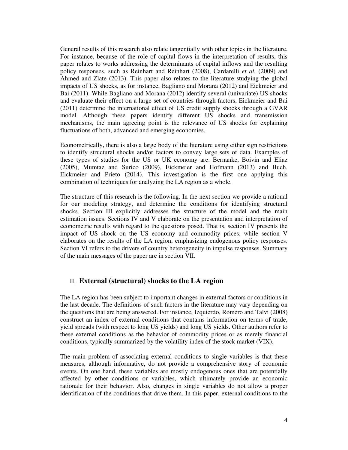General results of this research also relate tangentially with other topics in the literature. For instance, because of the role of capital flows in the interpretation of results, this paper relates to works addressing the determinants of capital inflows and the resulting policy responses, such as Reinhart and Reinhart (2008), Cardarelli *et al.* (2009) and Ahmed and Zlate (2013). This paper also relates to the literature studying the global impacts of US shocks, as for instance, Bagliano and Morana (2012) and Eickmeier and Bai (2011). While Bagliano and Morana (2012) identify several (univariate) US shocks and evaluate their effect on a large set of countries through factors, Eickmeier and Bai (2011) determine the international effect of US credit supply shocks through a GVAR model. Although these papers identify different US shocks and transmission mechanisms, the main agreeing point is the relevance of US shocks for explaining fluctuations of both, advanced and emerging economies.

Econometrically, there is also a large body of the literature using either sign restrictions to identify structural shocks and/or factors to convey large sets of data. Examples of these types of studies for the US or UK economy are: Bernanke, Boivin and Eliaz (2005), Mumtaz and Surico (2009), Eickmeier and Hofmann (2013) and Buch, Eickmeier and Prieto (2014). This investigation is the first one applying this combination of techniques for analyzing the LA region as a whole.

The structure of this research is the following. In the next section we provide a rational for our modeling strategy, and determine the conditions for identifying structural shocks. Section III explicitly addresses the structure of the model and the main estimation issues. Sections IV and V elaborate on the presentation and interpretation of econometric results with regard to the questions posed. That is, section IV presents the impact of US shock on the US economy and commodity prices, while section V elaborates on the results of the LA region, emphasizing endogenous policy responses. Section VI refers to the drivers of country heterogeneity in impulse responses. Summary of the main messages of the paper are in section VII.

# II. **External (structural) shocks to the LA region**

The LA region has been subject to important changes in external factors or conditions in the last decade. The definitions of such factors in the literature may vary depending on the questions that are being answered. For instance, Izquierdo, Romero and Talvi (2008) construct an index of external conditions that contains information on terms of trade, yield spreads (with respect to long US yields) and long US yields. Other authors refer to these external conditions as the behavior of commodity prices or as merely financial conditions, typically summarized by the volatility index of the stock market (VIX).

The main problem of associating external conditions to single variables is that these measures, although informative, do not provide a comprehensive story of economic events. On one hand, these variables are mostly endogenous ones that are potentially affected by other conditions or variables, which ultimately provide an economic rationale for their behavior. Also, changes in single variables do not allow a proper identification of the conditions that drive them. In this paper, external conditions to the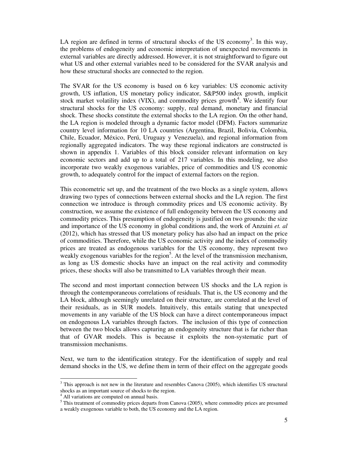LA region are defined in terms of structural shocks of the US economy<sup>3</sup>. In this way, the problems of endogeneity and economic interpretation of unexpected movements in external variables are directly addressed. However, it is not straightforward to figure out what US and other external variables need to be considered for the SVAR analysis and how these structural shocks are connected to the region.

The SVAR for the US economy is based on 6 key variables: US economic activity growth, US inflation, US monetary policy indicator, S&P500 index growth, implicit stock market volatility index  $(VIX)$ , and commodity prices growth<sup>4</sup>. We identify four structural shocks for the US economy: supply, real demand, monetary and financial shock. These shocks constitute the external shocks to the LA region. On the other hand, the LA region is modeled through a dynamic factor model (DFM). Factors summarize country level information for 10 LA countries (Argentina, Brazil, Bolivia, Colombia, Chile, Ecuador, México, Perú, Uruguay y Venezuela), and regional information from regionally aggregated indicators. The way these regional indicators are constructed is shown in appendix 1. Variables of this block consider relevant information on key economic sectors and add up to a total of 217 variables. In this modeling, we also incorporate two weakly exogenous variables, price of commodities and US economic growth, to adequately control for the impact of external factors on the region.

This econometric set up, and the treatment of the two blocks as a single system, allows drawing two types of connections between external shocks and the LA region. The first connection we introduce is through commodity prices and US economic activity. By construction, we assume the existence of full endogeneity between the US economy and commodity prices. This presumption of endogeneity is justified on two grounds: the size and importance of the US economy in global conditions and, the work of Anzuini *et. al* (2012), which has stressed that US monetary policy has also had an impact on the price of commodities. Therefore, while the US economic activity and the index of commodity prices are treated as endogenous variables for the US economy, they represent two weakly exogenous variables for the region<sup>5</sup>. At the level of the transmission mechanism, as long as US domestic shocks have an impact on the real activity and commodity prices, these shocks will also be transmitted to LA variables through their mean.

The second and most important connection between US shocks and the LA region is through the contemporaneous correlations of residuals. That is, the US economy and the LA block, although seemingly unrelated on their structure, are correlated at the level of their residuals, as in SUR models. Intuitively, this entails stating that unexpected movements in any variable of the US block can have a direct contemporaneous impact on endogenous LA variables through factors. The inclusion of this type of connection between the two blocks allows capturing an endogeneity structure that is far richer than that of GVAR models. This is because it exploits the non-systematic part of transmission mechanisms.

Next, we turn to the identification strategy. For the identification of supply and real demand shocks in the US, we define them in term of their effect on the aggregate goods

 $\ddot{\phantom{a}}$ 

<sup>&</sup>lt;sup>3</sup> This approach is not new in the literature and resembles Canova (2005), which identifies US structural shocks as an important source of shocks to the region.

<sup>4</sup> All variations are computed on annual basis.

<sup>&</sup>lt;sup>5</sup> This treatment of commodity prices departs from Canova (2005), where commodity prices are presumed a weakly exogenous variable to both, the US economy and the LA region.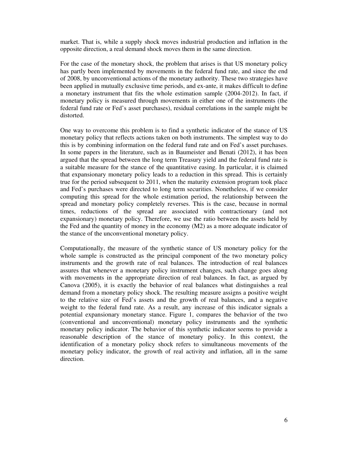market. That is, while a supply shock moves industrial production and inflation in the opposite direction, a real demand shock moves them in the same direction.

For the case of the monetary shock, the problem that arises is that US monetary policy has partly been implemented by movements in the federal fund rate, and since the end of 2008, by unconventional actions of the monetary authority. These two strategies have been applied in mutually exclusive time periods, and ex-ante, it makes difficult to define a monetary instrument that fits the whole estimation sample (2004-2012). In fact, if monetary policy is measured through movements in either one of the instruments (the federal fund rate or Fed's asset purchases), residual correlations in the sample might be distorted.

One way to overcome this problem is to find a synthetic indicator of the stance of US monetary policy that reflects actions taken on both instruments. The simplest way to do this is by combining information on the federal fund rate and on Fed's asset purchases. In some papers in the literature, such as in Baumeister and Benati (2012), it has been argued that the spread between the long term Treasury yield and the federal fund rate is a suitable measure for the stance of the quantitative easing. In particular, it is claimed that expansionary monetary policy leads to a reduction in this spread. This is certainly true for the period subsequent to 2011, when the maturity extension program took place and Fed's purchases were directed to long term securities. Nonetheless, if we consider computing this spread for the whole estimation period, the relationship between the spread and monetary policy completely reverses. This is the case, because in normal times, reductions of the spread are associated with contractionary (and not expansionary) monetary policy. Therefore, we use the ratio between the assets held by the Fed and the quantity of money in the economy (M2) as a more adequate indicator of the stance of the unconventional monetary policy.

Computationally, the measure of the synthetic stance of US monetary policy for the whole sample is constructed as the principal component of the two monetary policy instruments and the growth rate of real balances. The introduction of real balances assures that whenever a monetary policy instrument changes, such change goes along with movements in the appropriate direction of real balances. In fact, as argued by Canova (2005), it is exactly the behavior of real balances what distinguishes a real demand from a monetary policy shock. The resulting measure assigns a positive weight to the relative size of Fed's assets and the growth of real balances, and a negative weight to the federal fund rate. As a result, any increase of this indicator signals a potential expansionary monetary stance. Figure 1, compares the behavior of the two (conventional and unconventional) monetary policy instruments and the synthetic monetary policy indicator. The behavior of this synthetic indicator seems to provide a reasonable description of the stance of monetary policy. In this context, the identification of a monetary policy shock refers to simultaneous movements of the monetary policy indicator, the growth of real activity and inflation, all in the same direction.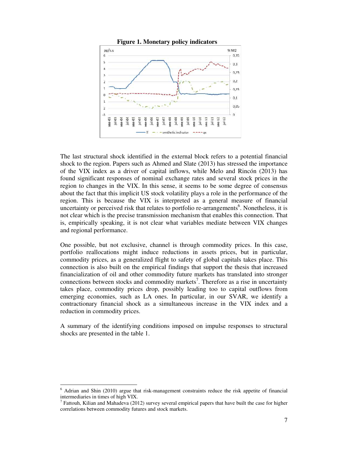

The last structural shock identified in the external block refers to a potential financial shock to the region. Papers such as Ahmed and Slate (2013) has stressed the importance of the VIX index as a driver of capital inflows, while Melo and Rincón (2013) has found significant responses of nominal exchange rates and several stock prices in the region to changes in the VIX. In this sense, it seems to be some degree of consensus about the fact that this implicit US stock volatility plays a role in the performance of the region. This is because the VIX is interpreted as a general measure of financial uncertainty or perceived risk that relates to portfolio re-arrangements<sup>6</sup>. Nonetheless, it is not clear which is the precise transmission mechanism that enables this connection. That is, empirically speaking, it is not clear what variables mediate between VIX changes and regional performance.

One possible, but not exclusive, channel is through commodity prices. In this case, portfolio reallocations might induce reductions in assets prices, but in particular, commodity prices, as a generalized flight to safety of global capitals takes place. This connection is also built on the empirical findings that support the thesis that increased financialization of oil and other commodity future markets has translated into stronger connections between stocks and commodity markets<sup>7</sup>. Therefore as a rise in uncertainty takes place, commodity prices drop, possibly leading too to capital outflows from emerging economies, such as LA ones. In particular, in our SVAR, we identify a contractionary financial shock as a simultaneous increase in the VIX index and a reduction in commodity prices.

A summary of the identifying conditions imposed on impulse responses to structural shocks are presented in the table 1.

 6 Adrian and Shin (2010) argue that risk-management constraints reduce the risk appetite of financial intermediaries in times of high VIX.

<sup>&</sup>lt;sup>7</sup> Fattouh, Kilian and Mahadeva (2012) survey several empirical papers that have built the case for higher correlations between commodity futures and stock markets.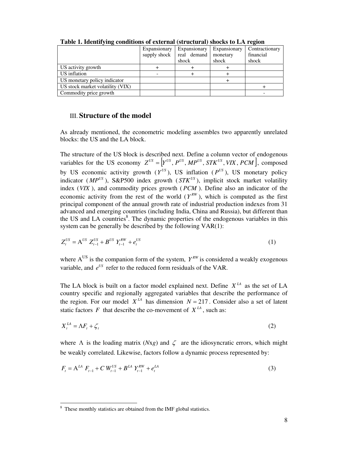| --- <b>--</b>                    |              |              |              |                |
|----------------------------------|--------------|--------------|--------------|----------------|
|                                  | Expansionary | Expansionary | Expansionary | Contractionary |
|                                  | supply shock | real demand  | monetary     | financial      |
|                                  |              | shock        | shock        | shock          |
| US activity growth               |              |              |              |                |
| US inflation                     |              |              |              |                |
| US monetary policy indicator     |              |              |              |                |
| US stock market volatility (VIX) |              |              |              |                |
| Commodity price growth           |              |              |              |                |

**Table 1. Identifying conditions of external (structural) shocks to LA region** 

## III. **Structure of the model**

As already mentioned, the econometric modeling assembles two apparently unrelated blocks: the US and the LA block.

The structure of the US block is described next. Define a column vector of endogenous variables for the US economy  $Z^{US} = |Y^{US}, P^{US}, MP^{US}, STK^{US}, VIX, PCM|$ , composed by US economic activity growth  $(Y^{US})$ , US inflation  $(P^{US})$ , US monetary policy indicator ( $MP^{US}$ ), S&P500 index growth ( $STK^{US}$ ), implicit stock market volatility index (*VIX* ), and commodity prices growth ( *PCM* ). Define also an indicator of the economic activity from the rest of the world  $(Y^{RW})$ , which is computed as the first principal component of the annual growth rate of industrial production indexes from 31 advanced and emerging countries (including India, China and Russia), but different than the US and LA countries<sup>8</sup>. The dynamic properties of the endogenous variables in this system can be generally be described by the following VAR(1):

$$
Z_t^{US} = A^{US} Z_{t-1}^{US} + B^{US} Y_{t-1}^{RW} + e_t^{US}
$$
 (1)

where  $A^{US}$  is the companion form of the system,  $Y^{RW}$  is considered a weakly exogenous variable, and  $e^{U S}$  refer to the reduced form residuals of the VAR.

The LA block is built on a factor model explained next. Define  $X<sup>LA</sup>$  as the set of LA country specific and regionally aggregated variables that describe the performance of the region. For our model  $X^{LA}$  has dimension  $N = 217$ . Consider also a set of latent static factors *F* that describe the co-movement of  $X<sup>LA</sup>$ , such as:

$$
X_t^{IA} = \Lambda F_t + \zeta_t \tag{2}
$$

where  $\Lambda$  is the loading matrix (*Nxg*) and  $\zeta$  are the idiosyncratic errors, which might be weakly correlated. Likewise, factors follow a dynamic process represented by:

$$
F_t = A^{LA} F_{t-1} + C W_{t-1}^{US} + B^{LA} Y_{t-1}^{RW} + e_t^{LA}
$$
 (3)

<sup>&</sup>lt;sup>8</sup> These monthly statistics are obtained from the IMF global statistics.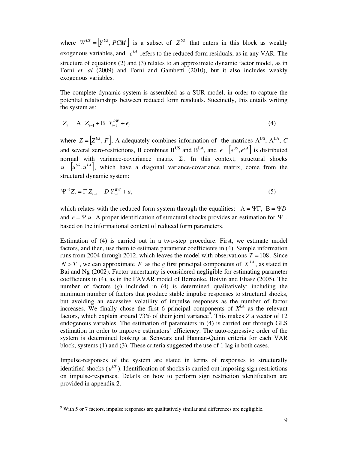where  $W^{US} = |Y^{US}, PCM|$  is a subset of  $Z^{US}$  that enters in this block as weakly exogenous variables, and  $e^{lA}$  refers to the reduced form residuals, as in any VAR. The structure of equations (2) and (3) relates to an approximate dynamic factor model, as in Forni *et. al* (2009) and Forni and Gambetti (2010), but it also includes weakly exogenous variables.

The complete dynamic system is assembled as a SUR model, in order to capture the potential relationships between reduced form residuals. Succinctly, this entails writing the system as:

$$
Z_t = A \t Z_{t-1} + B \t Y_{t-1}^{RW} + e_t \t (4)
$$

where  $Z = \left| Z^{US}, F \right|$ , A adequately combines information of the matrices  $A^{US}, A^{LA}, C$ and several zero-restrictions, B combines B<sup>US</sup> and B<sup>LA</sup>, and  $e = |e^{US}, e^{LA}|$  is distributed normal with variance-covariance matrix  $\Sigma$ . In this context, structural shocks  $u = |u^{US}, u^{LA}|$ , which have a diagonal variance-covariance matrix, come from the structural dynamic system:

$$
\Psi^{-1}Z_t = \Gamma Z_{t-1} + D Y_{t-1}^{RW} + u_t
$$
\n(5)

which relates with the reduced form system through the equalities:  $A = \Psi \Gamma$ ,  $B = \Psi D$ and  $e = \Psi u$ . A proper identification of structural shocks provides an estimation for  $\Psi$ , based on the informational content of reduced form parameters.

Estimation of (4) is carried out in a two-step procedure. First, we estimate model factors, and then, use them to estimate parameter coefficients in (4). Sample information runs from 2004 through 2012, which leaves the model with observations  $T = 108$ . Since  $N > T$ , we can approximate *F* as the *g* first principal components of  $X<sup>LA</sup>$ , as stated in Bai and Ng (2002). Factor uncertainty is considered negligible for estimating parameter coefficients in (4), as in the FAVAR model of Bernanke, Boivin and Eliasz (2005). The number of factors (*g*) included in (4) is determined qualitatively: including the minimum number of factors that produce stable impulse responses to structural shocks, but avoiding an excessive volatility of impulse responses as the number of factor increases. We finally chose the first 6 principal components of  $X^{LA}$  as the relevant factors, which explain around 73% of their joint variance<sup>9</sup>. This makes *Z* a vector of 12 endogenous variables. The estimation of parameters in (4) is carried out through GLS estimation in order to improve estimators' efficiency. The auto-regressive order of the system is determined looking at Schwarz and Hannan-Quinn criteria for each VAR block, systems (1) and (3). These criteria suggested the use of 1 lag in both cases.

Impulse-responses of the system are stated in terms of responses to structurally identified shocks ( $u^{US}$ ). Identification of shocks is carried out imposing sign restrictions on impulse-responses. Details on how to perform sign restriction identification are provided in appendix 2.

 $\overline{a}$ 

 $9$  With 5 or 7 factors, impulse responses are qualitatively similar and differences are negligible.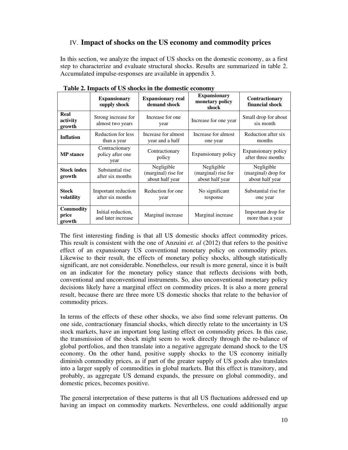# IV. **Impact of shocks on the US economy and commodity prices**

In this section, we analyze the impact of US shocks on the domestic economy, as a first step to characterize and evaluate structural shocks. Results are summarized in table 2. Accumulated impulse-responses are available in appendix 3.

|                                     | <b>Expansionary</b><br>supply shock        | <b>Expansionary real</b><br>demand shock             | <b>Expansionary</b><br>monetary policy<br>shock      | Contractionary<br>financial shock                    |
|-------------------------------------|--------------------------------------------|------------------------------------------------------|------------------------------------------------------|------------------------------------------------------|
| Real<br>activity<br>growth          | Strong increase for<br>almost two years    | Increase for one<br>year                             | Increase for one year                                | Small drop for about<br>six month                    |
| <b>Inflation</b>                    | Reduction for less<br>than a year          | Increase for almost<br>year and a half               | Increase for almost<br>one year                      | Reduction after six<br>months                        |
| <b>MP</b> stance                    | Contractionary<br>policy after one<br>year | Contractionary<br>policy                             | Expansionary policy                                  | Expansionary policy<br>after three months            |
| <b>Stock index</b><br>growth        | Substantial rise<br>after six months       | Negligible<br>(marginal) rise for<br>about half year | Negligible<br>(marginal) rise for<br>about half year | Negligible<br>(marginal) drop for<br>about half year |
| <b>Stock</b><br>volatility          | Important reduction<br>after six months    | Reduction for one<br>year                            | No significant<br>response                           | Substantial rise for<br>one year                     |
| <b>Commodity</b><br>price<br>growth | Initial reduction,<br>and later increase   | Marginal increase                                    | Marginal increase                                    | Important drop for<br>more than a year               |

**Table 2. Impacts of US shocks in the domestic economy** 

The first interesting finding is that all US domestic shocks affect commodity prices. This result is consistent with the one of Anzuini *et. al* (2012) that refers to the positive effect of an expansionary US conventional monetary policy on commodity prices. Likewise to their result, the effects of monetary policy shocks, although statistically significant, are not considerable. Nonetheless, our result is more general, since it is built on an indicator for the monetary policy stance that reflects decisions with both, conventional and unconventional instruments. So, also unconventional monetary policy decisions likely have a marginal effect on commodity prices. It is also a more general result, because there are three more US domestic shocks that relate to the behavior of commodity prices.

In terms of the effects of these other shocks, we also find some relevant patterns. On one side, contractionary financial shocks, which directly relate to the uncertainty in US stock markets, have an important long lasting effect on commodity prices. In this case, the transmission of the shock might seem to work directly through the re-balance of global portfolios, and then translate into a negative aggregate demand shock to the US economy. On the other hand, positive supply shocks to the US economy initially diminish commodity prices, as if part of the greater supply of US goods also translates into a larger supply of commodities in global markets. But this effect is transitory, and probably, as aggregate US demand expands, the pressure on global commodity, and domestic prices, becomes positive.

The general interpretation of these patterns is that all US fluctuations addressed end up having an impact on commodity markets. Nevertheless, one could additionally argue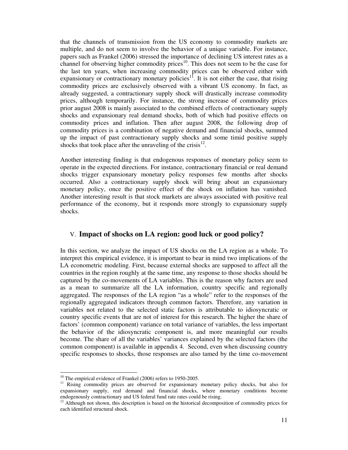that the channels of transmission from the US economy to commodity markets are multiple, and do not seem to involve the behavior of a unique variable. For instance, papers such as Frankel (2006) stressed the importance of declining US interest rates as a channel for observing higher commodity prices<sup>10</sup>. This does not seem to be the case for the last ten years, when increasing commodity prices can be observed either with expansionary or contractionary monetary policies<sup>11</sup>. It is not either the case, that rising commodity prices are exclusively observed with a vibrant US economy. In fact, as already suggested, a contractionary supply shock will drastically increase commodity prices, although temporarily. For instance, the strong increase of commodity prices prior august 2008 is mainly associated to the combined effects of contractionary supply shocks and expansionary real demand shocks, both of which had positive effects on commodity prices and inflation. Then after august 2008, the following drop of commodity prices is a combination of negative demand and financial shocks, summed up the impact of past contractionary supply shocks and some timid positive supply shocks that took place after the unraveling of the crisis $^{12}$ .

Another interesting finding is that endogenous responses of monetary policy seem to operate in the expected directions. For instance, contractionary financial or real demand shocks trigger expansionary monetary policy responses few months after shocks occurred. Also a contractionary supply shock will bring about an expansionary monetary policy, once the positive effect of the shock on inflation has vanished. Another interesting result is that stock markets are always associated with positive real performance of the economy, but it responds more strongly to expansionary supply shocks.

# V. **Impact of shocks on LA region: good luck or good policy?**

In this section, we analyze the impact of US shocks on the LA region as a whole. To interpret this empirical evidence, it is important to bear in mind two implications of the LA econometric modeling. First, because external shocks are supposed to affect all the countries in the region roughly at the same time, any response to those shocks should be captured by the co-movements of LA variables. This is the reason why factors are used as a mean to summarize all the LA information, country specific and regionally aggregated. The responses of the LA region "as a whole" refer to the responses of the regionally aggregated indicators through common factors. Therefore, any variation in variables not related to the selected static factors is attributable to idiosyncratic or country specific events that are not of interest for this research. The higher the share of factors' (common component) variance on total variance of variables, the less important the behavior of the idiosyncratic component is, and more meaningful our results become. The share of all the variables' variances explained by the selected factors (the common component) is available in appendix 4. Second, even when discussing country specific responses to shocks, those responses are also tamed by the time co-movement

 $\overline{a}$ 

<sup>&</sup>lt;sup>10</sup> The empirical evidence of Frankel (2006) refers to 1950-2005.

<sup>&</sup>lt;sup>11</sup> Rising commodity prices are observed for expansionary monetary policy shocks, but also for expansionary supply, real demand and financial shocks, where monetary conditions become endogenously contractionary and US federal fund rate rates could be rising.

<sup>&</sup>lt;sup>12</sup> Although not shown, this description is based on the historical decomposition of commodity prices for each identified structural shock.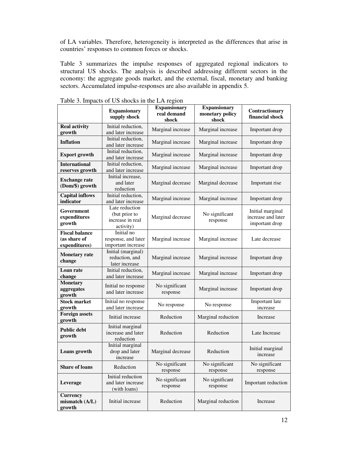of LA variables. Therefore, heterogeneity is interpreted as the differences that arise in countries' responses to common forces or shocks.

Table 3 summarizes the impulse responses of aggregated regional indicators to structural US shocks. The analysis is described addressing different sectors in the economy: the aggregate goods market, and the external, fiscal, monetary and banking sectors. Accumulated impulse-responses are also available in appendix 5.

|                                                        | <b>Expansionary</b><br>supply shock                              | <b>Expansionary</b><br>real demand<br>shock | <b>Expansionary</b><br>monetary policy<br>shock | Contractionary<br>financial shock                        |
|--------------------------------------------------------|------------------------------------------------------------------|---------------------------------------------|-------------------------------------------------|----------------------------------------------------------|
| <b>Real activity</b><br>growth                         | Initial reduction,<br>and later increase                         | Marginal increase                           | Marginal increase                               | Important drop                                           |
| <b>Inflation</b>                                       | Initial reduction,<br>and later increase                         | Marginal increase                           | Marginal increase                               | Important drop                                           |
| <b>Export growth</b>                                   | Initial reduction,<br>and later increase                         | Marginal increase                           | Marginal increase                               | Important drop                                           |
| <b>International</b><br>reserves growth                | Initial reduction,<br>and later increase                         | Marginal increase                           | Marginal increase                               | Important drop                                           |
| <b>Exchange rate</b><br>(Dom/\$) growth                | Initial increase,<br>and later<br>reduction                      | Marginal decrease                           | Marginal decrease                               | Important rise                                           |
| <b>Capital inflows</b><br>indicator                    | Initial reduction,<br>and later increase                         | Marginal increase                           | Marginal increase                               | Important drop                                           |
| Government<br>expenditures<br>growth                   | Late reduction<br>(but prior to<br>increase in real<br>activity) | Marginal decrease                           | No significant<br>response                      | Initial marginal<br>increase and later<br>important drop |
| <b>Fiscal balance</b><br>(as share of<br>expenditures) | Initial no<br>response, and later<br>important increase          | Marginal increase                           | Marginal increase                               | Late decrease                                            |
| <b>Monetary</b> rate<br>change                         | Initial (marginal)<br>reduction, and<br>later increase           | Marginal increase                           | Marginal increase                               | Important drop                                           |
| Loan rate<br>change                                    | Initial reduction,<br>and later increase                         | Marginal increase                           | Marginal increase                               | Important drop                                           |
| <b>Monetary</b><br>aggregates<br>growth                | Initial no response<br>and later increase                        | No significant<br>response                  | Marginal increase                               | Important drop                                           |
| <b>Stock market</b><br>growth                          | Initial no response<br>and later increase                        | No response                                 | No response                                     | Important late<br>increase                               |
| <b>Foreign assets</b><br>growth                        | Initial increase                                                 | Reduction                                   | Marginal reduction                              | Increase                                                 |
| <b>Public debt</b><br>growth                           | Initial marginal<br>increase and later<br>reduction              | Reduction                                   | Reduction                                       | Late Increase                                            |
| Loans growth                                           | Initial marginal<br>drop and later<br>increase                   | Marginal decrease                           | Reduction                                       | Initial marginal<br>increase                             |
| <b>Share of loans</b>                                  | Reduction                                                        | No significant<br>response                  | No significant<br>response                      | No significant<br>response                               |
| Leverage                                               | Initial reduction<br>and later increase<br>(with loans)          | No significant<br>response                  | No significant<br>response                      | Important reduction                                      |
| <b>Currency</b><br>mismatch (A/L)<br>growth            | Initial increase                                                 | Reduction                                   | Marginal reduction                              | Increase                                                 |

Table 3. Impacts of US shocks in the LA region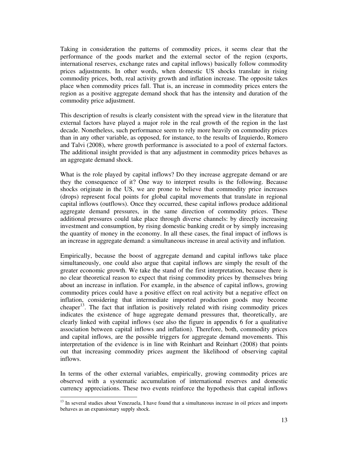Taking in consideration the patterns of commodity prices, it seems clear that the performance of the goods market and the external sector of the region (exports, international reserves, exchange rates and capital inflows) basically follow commodity prices adjustments. In other words, when domestic US shocks translate in rising commodity prices, both, real activity growth and inflation increase. The opposite takes place when commodity prices fall. That is, an increase in commodity prices enters the region as a positive aggregate demand shock that has the intensity and duration of the commodity price adjustment.

This description of results is clearly consistent with the spread view in the literature that external factors have played a major role in the real growth of the region in the last decade. Nonetheless, such performance seem to rely more heavily on commodity prices than in any other variable, as opposed, for instance, to the results of Izquierdo, Romero and Talvi (2008), where growth performance is associated to a pool of external factors. The additional insight provided is that any adjustment in commodity prices behaves as an aggregate demand shock.

What is the role played by capital inflows? Do they increase aggregate demand or are they the consequence of it? One way to interpret results is the following. Because shocks originate in the US, we are prone to believe that commodity price increases (drops) represent focal points for global capital movements that translate in regional capital inflows (outflows). Once they occurred, these capital inflows produce additional aggregate demand pressures, in the same direction of commodity prices. These additional pressures could take place through diverse channels: by directly increasing investment and consumption, by rising domestic banking credit or by simply increasing the quantity of money in the economy. In all these cases, the final impact of inflows is an increase in aggregate demand: a simultaneous increase in areal activity and inflation.

Empirically, because the boost of aggregate demand and capital inflows take place simultaneously, one could also argue that capital inflows are simply the result of the greater economic growth. We take the stand of the first interpretation, because there is no clear theoretical reason to expect that rising commodity prices by themselves bring about an increase in inflation. For example, in the absence of capital inflows, growing commodity prices could have a positive effect on real activity but a negative effect on inflation, considering that intermediate imported production goods may become cheaper $13$ . The fact that inflation is positively related with rising commodity prices indicates the existence of huge aggregate demand pressures that, theoretically, are clearly linked with capital inflows (see also the figure in appendix 6 for a qualitative association between capital inflows and inflation). Therefore, both, commodity prices and capital inflows, are the possible triggers for aggregate demand movements. This interpretation of the evidence is in line with Reinhart and Reinhart (2008) that points out that increasing commodity prices augment the likelihood of observing capital inflows.

In terms of the other external variables, empirically, growing commodity prices are observed with a systematic accumulation of international reserves and domestic currency appreciations. These two events reinforce the hypothesis that capital inflows

 $\overline{a}$ 

<sup>&</sup>lt;sup>13</sup> In several studies about Venezuela, I have found that a simultaneous increase in oil prices and imports behaves as an expansionary supply shock.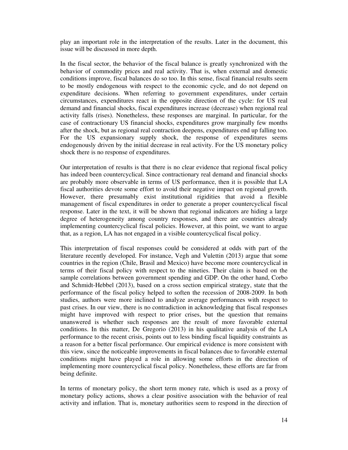play an important role in the interpretation of the results. Later in the document, this issue will be discussed in more depth.

In the fiscal sector, the behavior of the fiscal balance is greatly synchronized with the behavior of commodity prices and real activity. That is, when external and domestic conditions improve, fiscal balances do so too. In this sense, fiscal financial results seem to be mostly endogenous with respect to the economic cycle, and do not depend on expenditure decisions. When referring to government expenditures, under certain circumstances, expenditures react in the opposite direction of the cycle: for US real demand and financial shocks, fiscal expenditures increase (decrease) when regional real activity falls (rises). Nonetheless, these responses are marginal. In particular, for the case of contractionary US financial shocks, expenditures grow marginally few months after the shock, but as regional real contraction deepens, expenditures end up falling too. For the US expansionary supply shock, the response of expenditures seems endogenously driven by the initial decrease in real activity. For the US monetary policy shock there is no response of expenditures.

Our interpretation of results is that there is no clear evidence that regional fiscal policy has indeed been countercyclical. Since contractionary real demand and financial shocks are probably more observable in terms of US performance, then it is possible that LA fiscal authorities devote some effort to avoid their negative impact on regional growth. However, there presumably exist institutional rigidities that avoid a flexible management of fiscal expenditures in order to generate a proper countercyclical fiscal response. Later in the text, it will be shown that regional indicators are hiding a large degree of heterogeneity among country responses, and there are countries already implementing countercyclical fiscal policies. However, at this point, we want to argue that, as a region, LA has not engaged in a visible countercyclical fiscal policy.

This interpretation of fiscal responses could be considered at odds with part of the literature recently developed. For instance, Vegh and Vulettin (2013) argue that some countries in the region (Chile, Brasil and Mexico) have become more countercyclical in terms of their fiscal policy with respect to the nineties. Their claim is based on the sample correlations between government spending and GDP. On the other hand, Corbo and Schmidt-Hebbel (2013), based on a cross section empirical strategy, state that the performance of the fiscal policy helped to soften the recession of 2008-2009. In both studies, authors were more inclined to analyze average performances with respect to past crises. In our view, there is no contradiction in acknowledging that fiscal responses might have improved with respect to prior crises, but the question that remains unanswered is whether such responses are the result of more favorable external conditions. In this matter, De Gregorio (2013) in his qualitative analysis of the LA performance to the recent crisis, points out to less binding fiscal liquidity constraints as a reason for a better fiscal performance. Our empirical evidence is more consistent with this view, since the noticeable improvements in fiscal balances due to favorable external conditions might have played a role in allowing some efforts in the direction of implementing more countercyclical fiscal policy. Nonetheless, these efforts are far from being definite.

In terms of monetary policy, the short term money rate, which is used as a proxy of monetary policy actions, shows a clear positive association with the behavior of real activity and inflation. That is, monetary authorities seem to respond in the direction of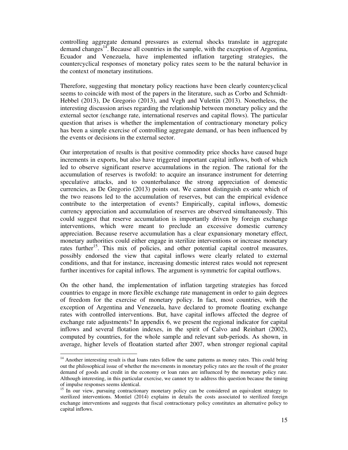controlling aggregate demand pressures as external shocks translate in aggregate demand changes<sup>14</sup>. Because all countries in the sample, with the exception of Argentina, Ecuador and Venezuela, have implemented inflation targeting strategies, the countercyclical responses of monetary policy rates seem to be the natural behavior in the context of monetary institutions.

Therefore, suggesting that monetary policy reactions have been clearly countercyclical seems to coincide with most of the papers in the literature, such as Corbo and Schmidt-Hebbel (2013), De Gregorio (2013), and Vegh and Vulettin (2013). Nonetheless, the interesting discussion arises regarding the relationship between monetary policy and the external sector (exchange rate, international reserves and capital flows). The particular question that arises is whether the implementation of contractionary monetary policy has been a simple exercise of controlling aggregate demand, or has been influenced by the events or decisions in the external sector.

Our interpretation of results is that positive commodity price shocks have caused huge increments in exports, but also have triggered important capital inflows, both of which led to observe significant reserve accumulations in the region. The rational for the accumulation of reserves is twofold: to acquire an insurance instrument for deterring speculative attacks, and to counterbalance the strong appreciation of domestic currencies, as De Gregorio (2013) points out. We cannot distinguish ex-ante which of the two reasons led to the accumulation of reserves, but can the empirical evidence contribute to the interpretation of events? Empirically, capital inflows, domestic currency appreciation and accumulation of reserves are observed simultaneously. This could suggest that reserve accumulation is importantly driven by foreign exchange interventions, which were meant to preclude an excessive domestic currency appreciation. Because reserve accumulation has a clear expansionary monetary effect, monetary authorities could either engage in sterilize interventions or increase monetary rates further<sup>15</sup>. This mix of policies, and other potential capital control measures, possibly endorsed the view that capital inflows were clearly related to external conditions, and that for instance, increasing domestic interest rates would not represent further incentives for capital inflows. The argument is symmetric for capital outflows.

On the other hand, the implementation of inflation targeting strategies has forced countries to engage in more flexible exchange rate management in order to gain degrees of freedom for the exercise of monetary policy. In fact, most countries, with the exception of Argentina and Venezuela, have declared to promote floating exchange rates with controlled interventions. But, have capital inflows affected the degree of exchange rate adjustments? In appendix 6, we present the regional indicator for capital inflows and several flotation indexes, in the spirit of Calvo and Reinhart (2002), computed by countries, for the whole sample and relevant sub-periods. As shown, in average, higher levels of floatation started after 2007, when stronger regional capital

 $\overline{a}$ <sup>14</sup> Another interesting result is that loans rates follow the same patterns as money rates. This could bring out the philosophical issue of whether the movements in monetary policy rates are the result of the greater demand of goods and credit in the economy or loan rates are influenced by the monetary policy rate. Although interesting, in this particular exercise, we cannot try to address this question because the timing of impulse responses seems identical.

<sup>&</sup>lt;sup>15</sup> In our view, pursuing contractionary monetary policy can be considered an equivalent strategy to sterilized interventions. Montiel (2014) explains in details the costs associated to sterilized foreign exchange interventions and suggests that fiscal contractionary policy constitutes an alternative policy to capital inflows.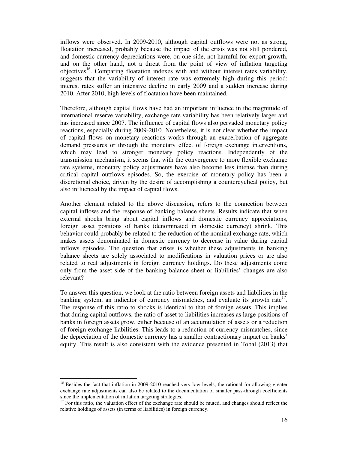inflows were observed. In 2009-2010, although capital outflows were not as strong, floatation increased, probably because the impact of the crisis was not still pondered, and domestic currency depreciations were, on one side, not harmful for export growth, and on the other hand, not a threat from the point of view of inflation targeting objectives<sup>16</sup>. Comparing floatation indexes with and without interest rates variability, suggests that the variability of interest rate was extremely high during this period: interest rates suffer an intensive decline in early 2009 and a sudden increase during 2010. After 2010, high levels of floatation have been maintained.

Therefore, although capital flows have had an important influence in the magnitude of international reserve variability, exchange rate variability has been relatively larger and has increased since 2007. The influence of capital flows also pervaded monetary policy reactions, especially during 2009-2010. Nonetheless, it is not clear whether the impact of capital flows on monetary reactions works through an exacerbation of aggregate demand pressures or through the monetary effect of foreign exchange interventions, which may lead to stronger monetary policy reactions. Independently of the transmission mechanism, it seems that with the convergence to more flexible exchange rate systems, monetary policy adjustments have also become less intense than during critical capital outflows episodes. So, the exercise of monetary policy has been a discretional choice, driven by the desire of accomplishing a countercyclical policy, but also influenced by the impact of capital flows.

Another element related to the above discussion, refers to the connection between capital inflows and the response of banking balance sheets. Results indicate that when external shocks bring about capital inflows and domestic currency appreciations, foreign asset positions of banks (denominated in domestic currency) shrink. This behavior could probably be related to the reduction of the nominal exchange rate, which makes assets denominated in domestic currency to decrease in value during capital inflows episodes. The question that arises is whether these adjustments in banking balance sheets are solely associated to modifications in valuation prices or are also related to real adjustments in foreign currency holdings. Do these adjustments come only from the asset side of the banking balance sheet or liabilities' changes are also relevant?

To answer this question, we look at the ratio between foreign assets and liabilities in the banking system, an indicator of currency mismatches, and evaluate its growth rate<sup>17</sup>. The response of this ratio to shocks is identical to that of foreign assets. This implies that during capital outflows, the ratio of asset to liabilities increases as large positions of banks in foreign assets grow, either because of an accumulation of assets or a reduction of foreign exchange liabilities. This leads to a reduction of currency mismatches, since the depreciation of the domestic currency has a smaller contractionary impact on banks' equity. This result is also consistent with the evidence presented in Tobal (2013) that

 $\ddot{\phantom{a}}$ 

<sup>&</sup>lt;sup>16</sup> Besides the fact that inflation in 2009-2010 reached very low levels, the rational for allowing greater exchange rate adjustments can also be related to the documentation of smaller pass-through coefficients since the implementation of inflation targeting strategies.

<sup>&</sup>lt;sup>17</sup> For this ratio, the valuation effect of the exchange rate should be muted, and changes should reflect the relative holdings of assets (in terms of liabilities) in foreign currency.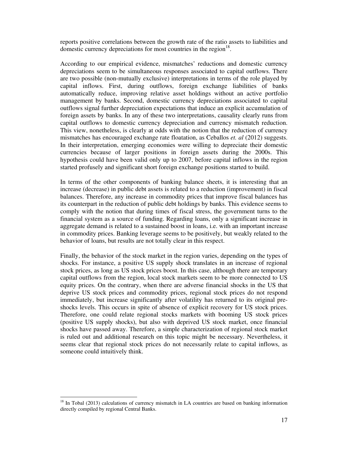reports positive correlations between the growth rate of the ratio assets to liabilities and domestic currency depreciations for most countries in the region $18$ .

According to our empirical evidence, mismatches' reductions and domestic currency depreciations seem to be simultaneous responses associated to capital outflows. There are two possible (non-mutually exclusive) interpretations in terms of the role played by capital inflows. First, during outflows, foreign exchange liabilities of banks automatically reduce, improving relative asset holdings without an active portfolio management by banks. Second, domestic currency depreciations associated to capital outflows signal further depreciation expectations that induce an explicit accumulation of foreign assets by banks. In any of these two interpretations, causality clearly runs from capital outflows to domestic currency depreciation and currency mismatch reduction. This view, nonetheless, is clearly at odds with the notion that the reduction of currency mismatches has encouraged exchange rate floatation, as Ceballos *et. al* (2012) suggests. In their interpretation, emerging economies were willing to depreciate their domestic currencies because of larger positions in foreign assets during the 2000s. This hypothesis could have been valid only up to 2007, before capital inflows in the region started profusely and significant short foreign exchange positions started to build.

In terms of the other components of banking balance sheets, it is interesting that an increase (decrease) in public debt assets is related to a reduction (improvement) in fiscal balances. Therefore, any increase in commodity prices that improve fiscal balances has its counterpart in the reduction of public debt holdings by banks. This evidence seems to comply with the notion that during times of fiscal stress, the government turns to the financial system as a source of funding. Regarding loans, only a significant increase in aggregate demand is related to a sustained boost in loans, i.e. with an important increase in commodity prices. Banking leverage seems to be positively, but weakly related to the behavior of loans, but results are not totally clear in this respect.

Finally, the behavior of the stock market in the region varies, depending on the types of shocks. For instance, a positive US supply shock translates in an increase of regional stock prices, as long as US stock prices boost. In this case, although there are temporary capital outflows from the region, local stock markets seem to be more connected to US equity prices. On the contrary, when there are adverse financial shocks in the US that deprive US stock prices and commodity prices, regional stock prices do not respond immediately, but increase significantly after volatility has returned to its original preshocks levels. This occurs in spite of absence of explicit recovery for US stock prices. Therefore, one could relate regional stocks markets with booming US stock prices (positive US supply shocks), but also with deprived US stock market, once financial shocks have passed away. Therefore, a simple characterization of regional stock market is ruled out and additional research on this topic might be necessary. Nevertheless, it seems clear that regional stock prices do not necessarily relate to capital inflows, as someone could intuitively think.

 $\overline{a}$ <sup>18</sup> In Tobal (2013) calculations of currency mismatch in LA countries are based on banking information directly compiled by regional Central Banks.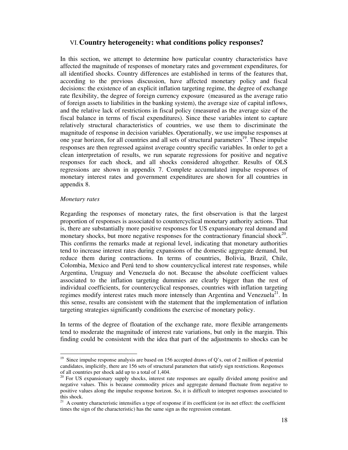### VI.**Country heterogeneity: what conditions policy responses?**

In this section, we attempt to determine how particular country characteristics have affected the magnitude of responses of monetary rates and government expenditures, for all identified shocks. Country differences are established in terms of the features that, according to the previous discussion, have affected monetary policy and fiscal decisions: the existence of an explicit inflation targeting regime, the degree of exchange rate flexibility, the degree of foreign currency exposure (measured as the average ratio of foreign assets to liabilities in the banking system), the average size of capital inflows, and the relative lack of restrictions in fiscal policy (measured as the average size of the fiscal balance in terms of fiscal expenditures). Since these variables intent to capture relatively structural characteristics of countries, we use them to discriminate the magnitude of response in decision variables. Operationally, we use impulse responses at one year horizon, for all countries and all sets of structural parameters<sup>19</sup>. These impulse responses are then regressed against average country specific variables. In order to get a clean interpretation of results, we run separate regressions for positive and negative responses for each shock, and all shocks considered altogether. Results of OLS regressions are shown in appendix 7. Complete accumulated impulse responses of monetary interest rates and government expenditures are shown for all countries in appendix 8.

#### *Monetary rates*

 $\overline{a}$ 

Regarding the responses of monetary rates, the first observation is that the largest proportion of responses is associated to countercyclical monetary authority actions. That is, there are substantially more positive responses for US expansionary real demand and monetary shocks, but more negative responses for the contractionary financial shock<sup>20</sup>. This confirms the remarks made at regional level, indicating that monetary authorities tend to increase interest rates during expansions of the domestic aggregate demand, but reduce them during contractions. In terms of countries, Bolivia, Brazil, Chile, Colombia, Mexico and Perú tend to show countercyclical interest rate responses, while Argentina, Uruguay and Venezuela do not. Because the absolute coefficient values associated to the inflation targeting dummies are clearly bigger than the rest of individual coefficients, for countercyclical responses, countries with inflation targeting regimes modify interest rates much more intensely than Argentina and Venezuela<sup>21</sup>. In this sense, results are consistent with the statement that the implementation of inflation targeting strategies significantly conditions the exercise of monetary policy.

In terms of the degree of floatation of the exchange rate, more flexible arrangements tend to moderate the magnitude of interest rate variations, but only in the margin. This finding could be consistent with the idea that part of the adjustments to shocks can be

<sup>&</sup>lt;sup>19</sup> Since impulse response analysis are based on 156 accepted draws of  $Q$ 's, out of 2 million of potential candidates, implicitly, there are 156 sets of structural parameters that satisfy sign restrictions. Responses of all countries per shock add up to a total of 1,404.

 $20$  For US expansionary supply shocks, interest rate responses are equally divided among positive and negative values. This is because commodity prices and aggregate demand fluctuate from negative to positive values along the impulse response horizon. So, it is difficult to interpret responses associated to this shock.

<sup>&</sup>lt;sup>21</sup> A country characteristic intensifies a type of response if its coefficient (or its net effect: the coefficient times the sign of the characteristic) has the same sign as the regression constant.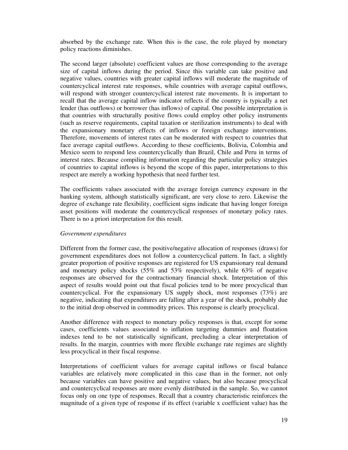absorbed by the exchange rate. When this is the case, the role played by monetary policy reactions diminishes.

The second larger (absolute) coefficient values are those corresponding to the average size of capital inflows during the period. Since this variable can take positive and negative values, countries with greater capital inflows will moderate the magnitude of countercyclical interest rate responses, while countries with average capital outflows, will respond with stronger countercyclical interest rate movements. It is important to recall that the average capital inflow indicator reflects if the country is typically a net lender (has outflows) or borrower (has inflows) of capital. One possible interpretation is that countries with structurally positive flows could employ other policy instruments (such as reserve requirements, capital taxation or sterilization instruments) to deal with the expansionary monetary effects of inflows or foreign exchange interventions. Therefore, movements of interest rates can be moderated with respect to countries that face average capital outflows. According to these coefficients, Bolivia, Colombia and Mexico seem to respond less countercyclically than Brazil, Chile and Peru in terms of interest rates. Because compiling information regarding the particular policy strategies of countries to capital inflows is beyond the scope of this paper, interpretations to this respect are merely a working hypothesis that need further test.

The coefficients values associated with the average foreign currency exposure in the banking system, although statistically significant, are very close to zero. Likewise the degree of exchange rate flexibility, coefficient signs indicate that having longer foreign asset positions will moderate the countercyclical responses of monetary policy rates. There is no a priori interpretation for this result.

#### *Government expenditures*

Different from the former case, the positive/negative allocation of responses (draws) for government expenditures does not follow a countercyclical pattern. In fact, a slightly greater proportion of positive responses are registered for US expansionary real demand and monetary policy shocks (55% and 53% respectively), while 63% of negative responses are observed for the contractionary financial shock. Interpretation of this aspect of results would point out that fiscal policies tend to be more procyclical than countercyclical. For the expansionary US supply shock, most responses (73%) are negative, indicating that expenditures are falling after a year of the shock, probably due to the initial drop observed in commodity prices. This response is clearly procyclical.

Another difference with respect to monetary policy responses is that, except for some cases, coefficients values associated to inflation targeting dummies and floatation indexes tend to be not statistically significant, precluding a clear interpretation of results. In the margin, countries with more flexible exchange rate regimes are slightly less procyclical in their fiscal response.

Interpretations of coefficient values for average capital inflows or fiscal balance variables are relatively more complicated in this case than in the former, not only because variables can have positive and negative values, but also because procyclical and countercyclical responses are more evenly distributed in the sample. So, we cannot focus only on one type of responses. Recall that a country characteristic reinforces the magnitude of a given type of response if its effect (variable x coefficient value) has the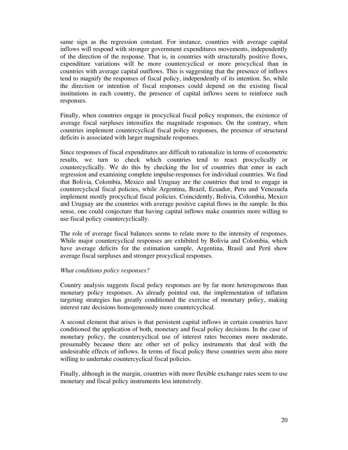same sign as the regression constant. For instance, countries with average capital inflows will respond with stronger government expenditures movements, independently of the direction of the response. That is, in countries with structurally positive flows, expenditure variations will be more countercyclical or more procyclical than in countries with average capital outflows. This is suggesting that the presence of inflows tend to magnify the responses of fiscal policy, independently of its intention. So, while the direction or intention of fiscal responses could depend on the existing fiscal institutions in each country, the presence of capital inflows seem to reinforce such responses.

Finally, when countries engage in procyclical fiscal policy responses, the existence of average fiscal surpluses intensifies the magnitude responses. On the contrary, when countries implement countercyclical fiscal policy responses, the presence of structural deficits is associated with larger magnitude responses.

Since responses of fiscal expenditures are difficult to rationalize in terms of econometric results, we turn to check which countries tend to react procyclically or countercyclically. We do this by checking the list of countries that enter in each regression and examining complete impulse-responses for individual countries. We find that Bolivia, Colombia, Mexico and Uruguay are the countries that tend to engage in countercyclical fiscal policies, while Argentina, Brazil, Ecuador, Peru and Venezuela implement mostly procyclical fiscal policies. Coincidently, Bolivia, Colombia, Mexico and Uruguay are the countries with average positive capital flows in the sample. In this sense, one could conjecture that having capital inflows make countries more willing to use fiscal policy countercyclically.

The role of average fiscal balances seems to relate more to the intensity of responses. While major countercyclical responses are exhibited by Bolivia and Colombia, which have average deficits for the estimation sample, Argentina, Brasil and Perú show average fiscal surpluses and stronger procyclical responses.

#### *What conditions policy responses?*

Country analysis suggests fiscal policy responses are by far more heterogeneous than monetary policy responses. As already pointed out, the implementation of inflation targeting strategies has greatly conditioned the exercise of monetary policy, making interest rate decisions homogeneously more countercyclical.

A second element that arises is that persistent capital inflows in certain countries have conditioned the application of both, monetary and fiscal policy decisions. In the case of monetary policy, the countercyclical use of interest rates becomes more moderate, presumably because there are other set of policy instruments that deal with the undesirable effects of inflows. In terms of fiscal policy these countries seem also more willing to undertake countercyclical fiscal policies.

Finally, although in the margin, countries with more flexible exchange rates seem to use monetary and fiscal policy instruments less intensively.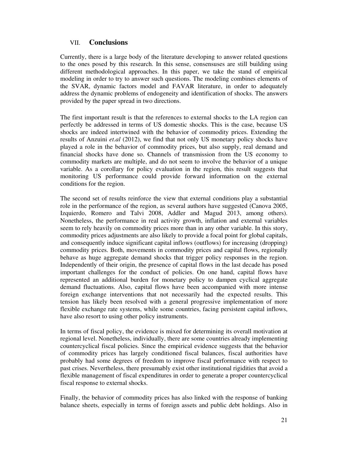# VII. **Conclusions**

Currently, there is a large body of the literature developing to answer related questions to the ones posed by this research. In this sense, consensuses are still building using different methodological approaches. In this paper, we take the stand of empirical modeling in order to try to answer such questions. The modeling combines elements of the SVAR, dynamic factors model and FAVAR literature, in order to adequately address the dynamic problems of endogeneity and identification of shocks. The answers provided by the paper spread in two directions.

The first important result is that the references to external shocks to the LA region can perfectly be addressed in terms of US domestic shocks. This is the case, because US shocks are indeed intertwined with the behavior of commodity prices. Extending the results of Anzuini *et.al* (2012), we find that not only US monetary policy shocks have played a role in the behavior of commodity prices, but also supply, real demand and financial shocks have done so. Channels of transmission from the US economy to commodity markets are multiple, and do not seem to involve the behavior of a unique variable. As a corollary for policy evaluation in the region, this result suggests that monitoring US performance could provide forward information on the external conditions for the region.

The second set of results reinforce the view that external conditions play a substantial role in the performance of the region, as several authors have suggested (Canova 2005, Izquierdo, Romero and Talvi 2008, Addler and Magud 2013, among others). Nonetheless, the performance in real activity growth, inflation and external variables seem to rely heavily on commodity prices more than in any other variable. In this story, commodity prices adjustments are also likely to provide a focal point for global capitals, and consequently induce significant capital inflows (outflows) for increasing (dropping) commodity prices. Both, movements in commodity prices and capital flows, regionally behave as huge aggregate demand shocks that trigger policy responses in the region. Independently of their origin, the presence of capital flows in the last decade has posed important challenges for the conduct of policies. On one hand, capital flows have represented an additional burden for monetary policy to dampen cyclical aggregate demand fluctuations. Also, capital flows have been accompanied with more intense foreign exchange interventions that not necessarily had the expected results. This tension has likely been resolved with a general progressive implementation of more flexible exchange rate systems, while some countries, facing persistent capital inflows, have also resort to using other policy instruments.

In terms of fiscal policy, the evidence is mixed for determining its overall motivation at regional level. Nonetheless, individually, there are some countries already implementing countercyclical fiscal policies. Since the empirical evidence suggests that the behavior of commodity prices has largely conditioned fiscal balances, fiscal authorities have probably had some degrees of freedom to improve fiscal performance with respect to past crises. Nevertheless, there presumably exist other institutional rigidities that avoid a flexible management of fiscal expenditures in order to generate a proper countercyclical fiscal response to external shocks.

Finally, the behavior of commodity prices has also linked with the response of banking balance sheets, especially in terms of foreign assets and public debt holdings. Also in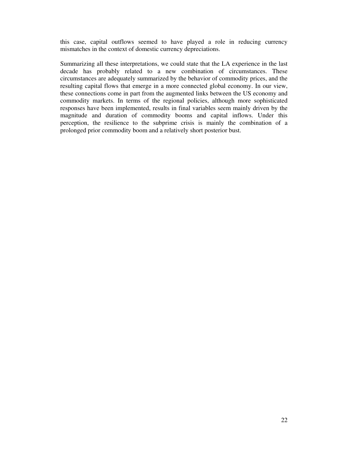this case, capital outflows seemed to have played a role in reducing currency mismatches in the context of domestic currency depreciations.

Summarizing all these interpretations, we could state that the LA experience in the last decade has probably related to a new combination of circumstances. These circumstances are adequately summarized by the behavior of commodity prices, and the resulting capital flows that emerge in a more connected global economy. In our view, these connections come in part from the augmented links between the US economy and commodity markets. In terms of the regional policies, although more sophisticated responses have been implemented, results in final variables seem mainly driven by the magnitude and duration of commodity booms and capital inflows. Under this perception, the resilience to the subprime crisis is mainly the combination of a prolonged prior commodity boom and a relatively short posterior bust.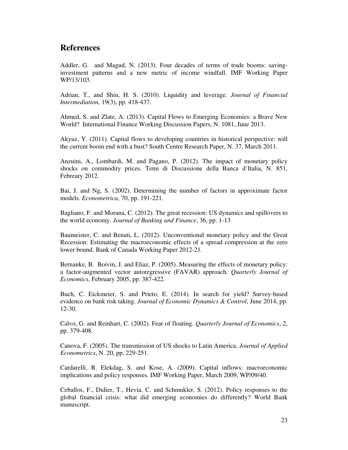# **References**

Addler, G. and Magud, N. (2013). Four decades of terms of trade booms: savinginvestment patterns and a new metric of income windfall. IMF Working Paper WP/13/103.

Adrian, T., and Shin, H. S. (2010). Liquidity and leverage. *Journal of Financial Intermediation*, 19(3), pp. 418-437.

Ahmed, S. and Zlate, A. (2013). Capital Flows to Emerging Economies: a Brave New World? International Finance Working Discussion Papers, N. 1081, June 2013.

Akyuz, Y. (2011). Capital flows to developing countries in historical perspective: will the current boom end with a bust? South Centre Research Paper, N. 37, March 2011.

Anzuini, A., Lombardi, M. and Pagano, P. (2012). The impact of monetary policy shocks on commodity prices. Temi di Discussione della Banca d'Italia, N. 851, Febreary 2012.

Bai, J. and Ng, S. (2002). Determining the number of factors in approximate factor models. *Econometrica*, 70, pp. 191-221.

Bagliano, F. and Morana, C. (2012). The great recession: US dynamics and spillovers to the world economy. *Journal of Banking and Finance*, 36, pp. 1-13

Baumeister, C. and Benati, L. (2012). Unconventional monetary policy and the Great Recession: Estimating the macroeconomic effects of a spread compression at the zero lower bound. Bank of Canada Working Paper 2012-21.

Bernanke, B. Boivin, J. and Eliaz, P. (2005). Measuring the effects of monetary policy: a factor-augmented vector autoregressive (FAVAR) approach. *Quarterly Journal of Economics*, February 2005, pp. 387-422.

Buch, C. Eickmeier, S. and Prieto, E. (2014). In search for yield? Survey-based evidence on bank risk taking. *Journal of Economic Dynamics & Control*, June 2014, pp. 12-30.

Calvo, G. and Reinhart, C. (2002). Fear of floating. *Quarterly Journal of Economics*, 2, pp. 379-408.

Canova, F. (2005). The transmission of US shocks to Latin America. *Journal of Applied Econometrics*, N. 20, pp. 229-251.

Cardarelli, R. Elekdag, S. and Kose, A. (2009). Capital inflows: macroeconomic implications and policy responses. IMF Working Paper, March 2009, WP/09/40.

Ceballos, F., Didier, T., Hevia, C. and Schmukler, S. (2012). Policy responses to the global financial crisis: what did emerging economies do differently? World Bank manuscript.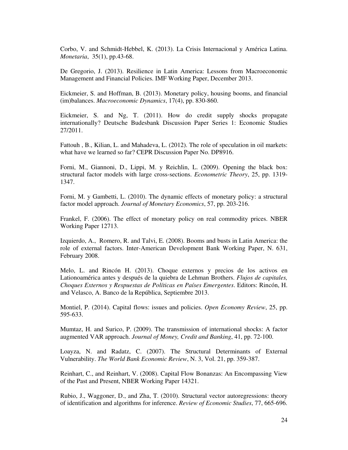Corbo, V. and Schmidt-Hebbel, K. (2013). La Crisis Internacional y América Latina. *Monetaria*, 35(1), pp.43-68.

De Gregorio, J. (2013). Resilience in Latin America: Lessons from Macroeconomic Management and Financial Policies. IMF Working Paper, December 2013.

Eickmeier, S. and Hoffman, B. (2013). Monetary policy, housing booms, and financial (im)balances. *Macroeconomic Dynamics*, 17(4), pp. 830-860.

Eickmeier, S. and Ng, T. (2011). How do credit supply shocks propagate internationally? Deutsche Budesbank Discussion Paper Series 1: Economic Studies 27/2011.

Fattouh , B., Kilian, L. and Mahadeva, L. (2012). The role of speculation in oil markets: what have we learned so far? CEPR Discussion Paper No. DP8916.

Forni, M., Giannoni, D., Lippi, M. y Reichlin, L. (2009). Opening the black box: structural factor models with large cross-sections. *Econometric Theory*, 25, pp. 1319- 1347.

Forni, M. y Gambetti, L. (2010). The dynamic effects of monetary policy: a structural factor model approach. *Journal of Monetary Economics*, 57, pp. 203-216.

Frankel, F. (2006). The effect of monetary policy on real commodity prices. NBER Working Paper 12713.

Izquierdo, A., Romero, R. and Talvi, E. (2008). Booms and busts in Latin America: the role of external factors. Inter-American Development Bank Working Paper, N. 631, February 2008.

Melo, L. and Rincón H. (2013). Choque externos y precios de los activos en Lationoamérica antes y después de la quiebra de Lehman Brothers. *Flujos de capitales, Choques Externos y Respuestas de Políticas en Países Emergentes*. Editors: Rincón, H. and Velasco, A. Banco de la República, Septiembre 2013.

Montiel, P. (2014). Capital flows: issues and policies. *Open Economy Review*, 25, pp. 595-633.

Mumtaz, H. and Surico, P. (2009). The transmission of international shocks: A factor augmented VAR approach. *Journal of Money, Credit and Banking*, 41, pp. 72-100.

Loayza, N. and Radatz, C. (2007). The Structural Determinants of External Vulnerability. *The World Bank Economic Review*, N. 3, Vol. 21, pp. 359-387.

Reinhart, C., and Reinhart, V. (2008). Capital Flow Bonanzas: An Encompassing View of the Past and Present, NBER Working Paper 14321.

Rubio, J., Waggoner, D., and Zha, T. (2010). Structural vector autoregressions: theory of identification and algorithms for inference. *Review of Economic Studies*, 77, 665-696.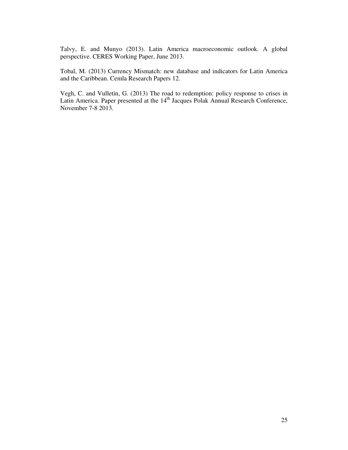Talvy, E. and Munyo (2013). Latin America macroeconomic outlook. A global perspective. CERES Working Paper, June 2013.

Tobal, M. (2013) Currency Mismatch: new database and indicators for Latin America and the Caribbean. Cemla Research Papers 12.

Vegh, C. and Vulletin, G. (2013) The road to redemption: policy response to crises in Latin America. Paper presented at the 14<sup>th</sup> Jacques Polak Annual Research Conference, November 7-8 2013.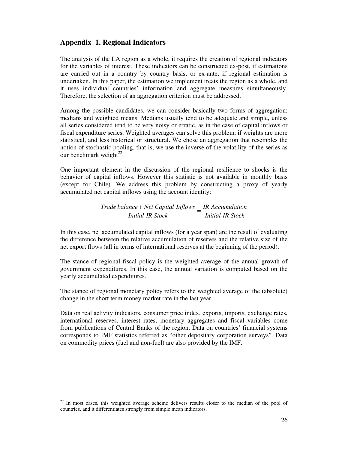# **Appendix 1. Regional Indicators**

The analysis of the LA region as a whole, it requires the creation of regional indicators for the variables of interest. These indicators can be constructed ex-post, if estimations are carried out in a country by country basis, or ex-ante, if regional estimation is undertaken. In this paper, the estimation we implement treats the region as a whole, and it uses individual countries' information and aggregate measures simultaneously. Therefore, the selection of an aggregation criterion must be addressed.

Among the possible candidates, we can consider basically two forms of aggregation: medians and weighted means. Medians usually tend to be adequate and simple, unless all series considered tend to be very noisy or erratic, as in the case of capital inflows or fiscal expenditure series. Weighted averages can solve this problem, if weights are more statistical, and less historical or structural. We chose an aggregation that resembles the notion of stochastic pooling, that is, we use the inverse of the volatility of the series as our benchmark weight $^{22}$ .

One important element in the discussion of the regional resilience to shocks is the behavior of capital inflows. However this statistic is not available in monthly basis (except for Chile). We address this problem by constructing a proxy of yearly accumulated net capital inflows using the account identity:

> *Initial IR Stock*  $\frac{Trace \times Net \cap Int \cap Int}{P} = \frac{IR \cap A \cap Int}{P}$ *Initial IR Stock*

In this case, net accumulated capital inflows (for a year span) are the result of evaluating the difference between the relative accumulation of reserves and the relative size of the net export flows (all in terms of international reserves at the beginning of the period).

The stance of regional fiscal policy is the weighted average of the annual growth of government expenditures. In this case, the annual variation is computed based on the yearly accumulated expenditures.

The stance of regional monetary policy refers to the weighted average of the (absolute) change in the short term money market rate in the last year.

Data on real activity indicators, consumer price index, exports, imports, exchange rates, international reserves, interest rates, monetary aggregates and fiscal variables come from publications of Central Banks of the region. Data on countries' financial systems corresponds to IMF statistics referred as "other depositary corporation surveys". Data on commodity prices (fuel and non-fuel) are also provided by the IMF.

l

 $22$  In most cases, this weighted average scheme delivers results closer to the median of the pool of countries, and it differentiates strongly from simple mean indicators.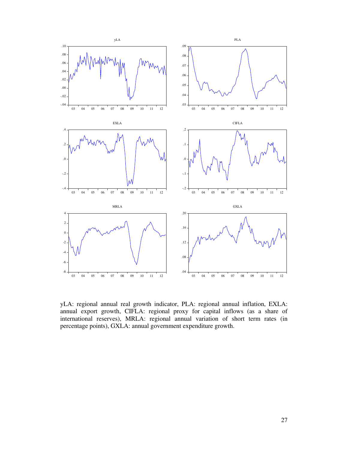

yLA: regional annual real growth indicator, PLA: regional annual inflation, EXLA: annual export growth, CIFLA: regional proxy for capital inflows (as a share of international reserves), MRLA: regional annual variation of short term rates (in percentage points), GXLA: annual government expenditure growth.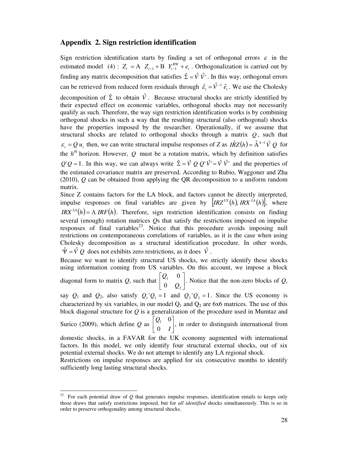## **Appendix 2. Sign restriction identification**

Sign restriction identification starts by finding a set of orthogonal errors  $\varepsilon$  in the estimated model (4):  $Z_t = A \, Z_{t-1} + B \, Y_{t-1}^{RW} + e_t$ . Orthogonalization is carried out by finding any matrix decomposition that satisfies  $\hat{\Sigma} = \hat{V} \hat{V}$ . In this way, orthogonal errors can be retrieved from reduced form residuals through  $\hat{\varepsilon}_t = \hat{V}^{-1} \hat{e}_t$ . We use the Cholesky decomposition of  $\hat{\Sigma}$  to obtain  $\hat{V}$ . Because structural shocks are strictly identified by their expected effect on economic variables, orthogonal shocks may not necessarily qualify as such. Therefore, the way sign restriction identification works is by combining orthogonal shocks in such a way that the resulting structural (also orthogonal) shocks have the properties imposed by the researcher. Operationally, if we assume that structural shocks are related to orthogonal shocks through a matrix *Q* , such that  $\varepsilon_t = Q u_t$ , then, we can write structural impulse responses of *Z* as  $I\hat{R}Z(h) = \hat{A}^{h-1}\hat{V}Q$  for the  $h^{th}$  horizon. However, Q must be a rotation matrix, which by definition satisfies  $Q'Q = I$ . In this way, we can always write  $\hat{\Sigma} = \hat{V} Q Q' \hat{V} = \hat{V} \hat{V}$  and the properties of the estimated covariance matrix are preserved. According to Rubio, Waggoner and Zha (2010), *Q* can be obtained from applying the QR decomposition to a uniform random matrix.

Since Z contains factors for the LA block, and factors cannot be directly interpreted, impulse responses on final variables are given by  $[IRZ<sup>US</sup>(h), IRX<sup>LA</sup>(h)]$ , where *IRX*<sup>LA</sup>(h) =  $\Lambda$  *IRF*(h). Therefore, sign restriction identification consists on finding several (enough) rotation matrices *Q*s that satisfy the restrictions imposed on impulse responses of final variables<sup>23</sup>. Notice that this procedure avoids imposing null restrictions on contemporaneous correlations of variables, as it is the case when using Cholesky decomposition as a structural identification procedure. In other words,  $\hat{\Psi} = \hat{V} Q$  does not exhibits zero restrictions, as it does  $\hat{V}$ .

Because we want to identify structural US shocks, we strictly identify these shocks using information coming from US variables. On this account, we impose a block

diagonal form to matrix Q, such that  $\begin{bmatrix} z_1 \\ 0 \\ 0 \end{bmatrix}$ J  $\overline{\phantom{a}}$ L L L 2 1 0 0 *Q Q* . Notice that the non-zero blocks of *Q*,

say  $Q_1$  and  $Q_2$ , also satisfy  $Q_1'Q_1 = I$  and  $Q_2'Q_2 = I$ . Since the US economy is characterized by six variables, in our model  $Q_1$  and  $Q_2$  are 6x6 matrices. The use of this block diagonal structure for *Q* is a generalization of the procedure used in Mumtaz and  $\overline{\phantom{a}}$  $\mathbf{r}$ *Q*

Surico (2009), which define *Q* as  $\begin{bmatrix} 2 & 0 \\ 0 & I \end{bmatrix}$  $\overline{\mathsf{L}}$ *I* 0  $\begin{bmatrix} 1 & 0 \\ 0 & 1 \end{bmatrix}$ , in order to distinguish international from

domestic shocks, in a FAVAR for the UK economy augmented with international factors. In this model, we only identify four structural external shocks, out of six potential external shocks. We do not attempt to identify any LA regional shock.

Restrictions on impulse responses are applied for six consecutive months to identify sufficiently long lasting structural shocks.

l

<sup>&</sup>lt;sup>23</sup> For each potential draw of  $Q$  that generates impulse responses, identification entails to keeps only those draws that satisfy restrictions imposed, but for *all identified* shocks simultaneously. This is so in order to preserve orthogonality among structural shocks.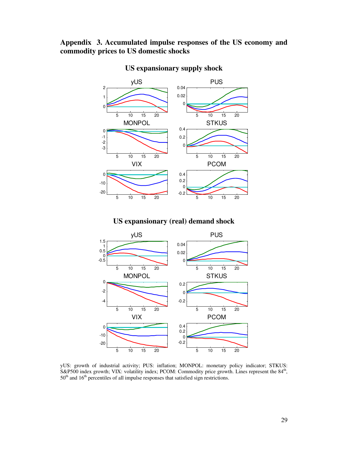# **Appendix 3. Accumulated impulse responses of the US economy and commodity prices to US domestic shocks**



# **US expansionary supply shock**

# **US expansionary (real) demand shock**



yUS: growth of industrial activity; PUS: inflation; MONPOL: monetary policy indicator; STKUS: S&P500 index growth; VIX: volatility index; PCOM: Commodity price growth. Lines represent the 84<sup>th</sup>, 50<sup>th</sup> and 16<sup>th</sup> percentiles of all impulse responses that satisfied sign restrictions.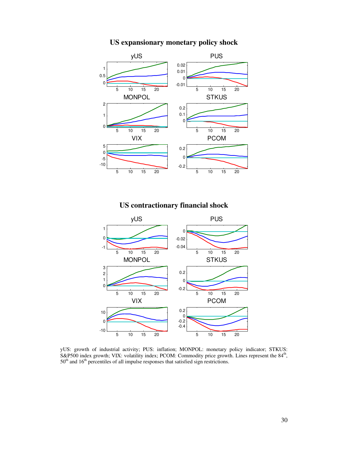

# **US expansionary monetary policy shock**

**US contractionary financial shock** 

![](_page_30_Figure_3.jpeg)

yUS: growth of industrial activity; PUS: inflation; MONPOL: monetary policy indicator; STKUS: S&P500 index growth; VIX: volatility index; PCOM: Commodity price growth. Lines represent the 84<sup>th</sup>,  $50<sup>th</sup>$  and  $16<sup>th</sup>$  percentiles of all impulse responses that satisfied sign restrictions.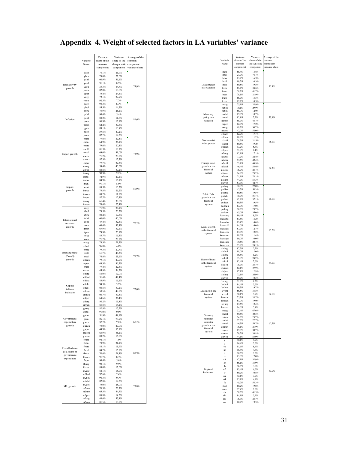|                           | Variable                                 | Variance<br>Variance   |                               | Average of the<br>common    |  |
|---------------------------|------------------------------------------|------------------------|-------------------------------|-----------------------------|--|
|                           | Name                                     | share of the<br>common | share of the<br>idiosyncratic | component<br>variance share |  |
|                           | yarg                                     | component<br>78.1%     | component<br>21.9%            |                             |  |
|                           | ybra                                     | 78,0%                  | 22.0%                         |                             |  |
|                           | ychl<br>ycol                             | 60.9%<br>91,1%         | 39,1%<br>8.9%                 |                             |  |
| Real activity<br>growth   | yecu                                     | 35,3%                  | 64,7%                         | 73,9%                       |  |
|                           | ymex<br>yper                             | 82,0%<br>75,4%         | 18.0%<br>24.6%                |                             |  |
|                           | yurg                                     | 72,1%                  | 27,9%                         |                             |  |
|                           | yven<br>parg                             | 92.3%<br>93.3%         | 7,7%<br>6,7%                  |                             |  |
|                           | pbol<br>pbra                             | 85.5%<br>73.9%         | 14,5%<br>26,1%                |                             |  |
|                           | pchl                                     | 94,6%                  | 5,4%                          |                             |  |
| Inflation                 | pcol                                     | 88,2%                  | 11,8%                         | 81,6%                       |  |
|                           | pecu<br>pmex                             | 86.9%<br>62,2%         | 13,1%<br>37,8%                |                             |  |
|                           | pper                                     | 89,1%<br>59.8%         | 10,9%                         |                             |  |
|                           | purg<br>pven                             | 82,7%                  | 40,2%<br>17,3%                |                             |  |
|                           | exarg                                    | 77,6%                  | 22,4%                         |                             |  |
|                           | exbol<br>exbra                           | 64,9%<br>79,6%         | 35,1%<br>20,4%                |                             |  |
|                           | exchl                                    | 81.3%                  | 18,7%                         |                             |  |
| Export growth             | excol<br>execu                           | 69,0%<br>71,2%         | 31,0%<br>28,8%                | 72,9%                       |  |
|                           | exmex                                    | 87,3%                  | 12,7%                         |                             |  |
|                           | exper<br>exurg                           | 77,7%<br>59,4%         | 22,3%<br>40,6%                |                             |  |
|                           | exven                                    | 60,8%<br>90.9%         | 39.2%                         |                             |  |
|                           | imarg<br>imbol                           | 72.9%                  | 9,1%<br>27.1%                 |                             |  |
|                           | imbra                                    | 84.9%                  | 15.1%                         |                             |  |
| Import                    | imchl<br>imcol                           | 91,1%<br>83,5%         | 8,9%<br>16,5%                 |                             |  |
| growth                    | imecu                                    | 73,8%                  | 26,2%                         | 80,9%                       |  |
|                           | imme x<br>imper                          | 88,2%<br>87,7%         | 11,8%<br>12,3%                |                             |  |
|                           | imurg                                    | 61,4%                  | 38,6%                         |                             |  |
|                           | inwen<br>irarg                           | 74,6%<br>71,9%         | 25,4%<br>28,1%                |                             |  |
|                           | irbol                                    | 73.5%                  | 26,5%                         |                             |  |
|                           | irbra<br>irchl                           | 80,2%<br>60,0%         | 19,8%<br>40,0%                |                             |  |
| International<br>reserves | ircol                                    | 47,4%                  | 52,6%                         | 70,2%                       |  |
| growth                    | irecu<br>irmex                           | $66{,}6\%$<br>67,9%    | 33,4%<br>32.1%                |                             |  |
|                           | irper                                    | 79.9%                  | 20,1%                         |                             |  |
|                           | irurg<br>irven                           | 83,7%<br>71,2%         | 16,3%<br>28,8%                |                             |  |
|                           | erarg                                    | 78,3%                  | 21,7%                         |                             |  |
|                           | erbol<br>erbra                           | 96,0%<br>79,3%         | 4,0%<br>20,7%                 |                             |  |
| Exchange rate             | erchl                                    | 51,7%                  | 48,3%                         |                             |  |
| (Dom/\$)<br>growth        | ercol<br>ermex                           | 74,4%<br>79,1%         | 25,6%<br>20,9%                | 71,7%                       |  |
|                           | erper                                    | 63,3%                  | 36,7%                         |                             |  |
|                           | erurg<br>erven                           | 77,4%<br>45,8%         | 22,6%<br>54,2%                |                             |  |
|                           | cifarg<br>cifbol                         | 88,0%                  | 12,0%<br>48.4%                |                             |  |
|                           | cifbra                                   | 51,6%<br>83.9%         | 16,1%                         |                             |  |
| Capital                   | cifchl                                   | 94,3%                  | 5,7%                          |                             |  |
| inflows<br>indicator      | cifcol<br>cifecu                         | 60,8%<br>50,5%         | 39,2%<br>49,5%                | 72,0%                       |  |
|                           | cifmex                                   | 60,7%                  | 39,3%                         |                             |  |
|                           | cifper<br>cifurg                         | 64,6%<br>80,2%         | 35,4%<br>19,8%                |                             |  |
|                           | cifven                                   | 85,8%                  | 14,2%                         |                             |  |
|                           | gxarg<br>gxbol                           | 82,8%<br>91,0%         | 17.2%<br>9,0%                 |                             |  |
|                           | gxbra                                    | 51,9%<br>26.1%         | 48,1%                         |                             |  |
| Government<br>expenditure | gxcol<br>gxecu                           | 92,2%                  | 73,9%<br>7,8%                 | 67,7%                       |  |
| growth                    | gxmex                                    | 73,0%                  | 27,0%<br>55,1%                |                             |  |
|                           | gxper<br>gxurga                          | 44.9%<br>63,9%         | 36,1%                         |                             |  |
|                           | gxven                                    | 83,2%                  | 16,8%                         |                             |  |
|                           | fbarg<br>fbbol                           | 92,1%<br>78,9%         | 7,9%<br>21,1%                 |                             |  |
| Fiscal balance            | fbbra                                    | 88,1%                  | 11,9%                         |                             |  |
| as a share of             | fbcol<br>fbecu                           | 84,2%<br>$70,\!6\%$    | 15,8%<br>29,4%                | 85,9%                       |  |
| government<br>expenditure | fbmex                                    | 91,7%                  | 8,3%                          |                             |  |
|                           | fbper<br>fburg                           | 94,4%<br>90,1%         | 5,6%<br>9,9%                  |                             |  |
|                           | fbyen                                    | 83,0%                  | 17,0%                         |                             |  |
|                           | m <sub>2</sub> arg<br>m <sub>2</sub> bol | 84,1%<br>92.6%         | 15,9%<br>7.4%                 |                             |  |
|                           | m2bra                                    | 90,3%                  | 9,7%                          |                             |  |
|                           | m2ch1<br>m <sub>2col</sub>               | 82,8%<br>75,0%         | 17,2%<br>25.0%                |                             |  |
| M <sub>2</sub> growth     | m2ecu                                    | 76,3%                  | 23,7%                         | 77,8%                       |  |
|                           | m2mex<br>m <sub>2per</sub>               | 65,3%<br>85,8%         | 34,7%<br>14,2%                |                             |  |
|                           | m2urg                                    | 44,6%                  | 55,4%                         |                             |  |
|                           | m2ven                                    | 81,5%                  | 18,5%                         |                             |  |

|                                 |                      | Variance               | Variance                       | Average of the      |
|---------------------------------|----------------------|------------------------|--------------------------------|---------------------|
|                                 | Variable<br>Name     | share of the<br>common | share of the<br>idios yncratic | common<br>component |
|                                 |                      | component              | component                      | variance share      |
|                                 | Irarg                | 85.4%                  | 14,6%                          |                     |
|                                 | Irbol<br>Irbra       | 21,9%<br>83,7%         | 78,1%<br>16,3%                 |                     |
|                                 | Irchl                | 89,7%                  | 10,3%                          |                     |
| Loan interest<br>rate variation | Ircol                | 80,5%                  | 19,5%                          | 73,9%               |
|                                 | lrecu<br>lmex        | 65,4%<br>58.3%         | 34,6%<br>41,7%                 |                     |
|                                 | Irper                | 78,1%                  | 21,9%                          |                     |
|                                 | lrurg                | 86,7%<br>89,7%         | 13,3%<br>10,3%                 |                     |
|                                 | lrven<br>mrarg       | 75.1%                  | 24.9%                          |                     |
|                                 | mrbol                | 70,1%                  | 29.9%                          |                     |
| Monetary                        | mrhra<br>mrchl       | 88.0%<br>89.3%         | 12,0%<br>10,7%                 |                     |
| policy rate                     | mrcol                | 92.8%                  | 7.2%                           | 73,9%               |
| variation                       | mmex                 | 55,9%                  | 44,1%                          |                     |
|                                 | mrper<br>mrurg       | 82,8%<br>69,3%         | 17,2%<br>30,7%                 |                     |
|                                 | mrven                | 42,0%                  | 58,0%                          |                     |
|                                 | stkarg<br>stkbra     | 82,9%<br>88,8%         | 17,1%                          |                     |
| Stock market                    | stkchl               | 78,5%                  | 11,2%<br>21,5%                 |                     |
| index growth                    | stkcol               | 80,8%                  | 19,2%                          | 86,0%               |
|                                 | stkmex               | 93.2%<br>91,9%         | 6,8%<br>8.1%                   |                     |
|                                 | stkper<br>nfaarg     | 82.9%                  | 17,1%                          |                     |
|                                 | nfabol               | 77,2%                  | 22,8%                          |                     |
| Foreign asset                   | nfabra<br>nfachl     | 57,6%<br>53.1%         | 42,4%<br>46,9%                 |                     |
| growth in the                   | nfacol               | 46,4%                  | 53,6%                          | 54,3%               |
| financial                       | nfaecu               | 76,9%                  | 23,1%                          |                     |
| system                          | nfamex<br>nfaper     | 24.8%<br>21.9%         | 75,2%<br>78.1%                 |                     |
|                                 | nfaurg               | 44.7%                  | 55,3%                          |                     |
|                                 | nfaven               | 57,3%                  | 42,7%                          |                     |
|                                 | pudarg<br>pudbol     | 78,0%<br>45,7%         | 22.0%<br>54,3%                 |                     |
| Public Debt                     | pudbra               | 80.5%                  | 19.5%                          |                     |
| growth in the                   | pudchl               | 78,9%                  | 21,1%                          |                     |
| financial                       | pudcol<br>pudecu     | 62,9%<br>80,5%         | 37,1%<br>19,5%                 | 71,6%               |
| system                          | pudmex               | 83,0%                  | 17,0%                          |                     |
|                                 | pudurg               | 70,3%                  | 29,7%                          |                     |
|                                 | pudven<br>loansarg   | 65,0%<br>90,4%         | 35,0%<br>9,6%                  |                     |
|                                 | loansbol             | 81,8%                  | 18,2%                          |                     |
|                                 | loansbra<br>loanschl | 85,4%<br>84,0%         | 14,6%<br>16,0%                 |                     |
| Loans growth                    | loanscol             | 87,9%                  | 12,1%                          |                     |
| in the financial<br>system      | loansecu             | 87,8%                  | 12.2%                          | 85,2%               |
|                                 | loansmex<br>loansper | 88.6%<br>90,0%         | 11,4%<br>10,0%                 |                     |
|                                 | loansurg             | 79,6%                  | 20,4%                          |                     |
|                                 | loansven<br>shlarg   | 75,9%<br>97,5%         | 24,1%<br>2,5%                  |                     |
|                                 | shlbol               | 88.0%                  | 12,0%                          |                     |
|                                 | shlbra               | 98,8%                  | 1.2%                           |                     |
| Share of loans                  | shlchl<br>shlcol     | 75,8%<br>92,4%         | 24,2%<br>7,6%                  |                     |
| in the financial                | shlecu               | 75,9%                  | 24,1%                          | 84,0%               |
| system                          | shlmex               | 62,1%                  | 37,9%                          |                     |
|                                 | shlper<br>shlurg     | 87,1%<br>73.1%         | 12.9%<br>26,9%                 |                     |
|                                 | shlven               | 89,7%                  | 10,3%                          |                     |
|                                 | levarg               | 91.8%                  | 8,2%                           |                     |
|                                 | levbol<br>levbra     | 94.4%<br>80,3%         | 5,6%<br>19,7%                  |                     |
| Leverage in the                 | levchl               | 66,5%                  | 33,5%                          |                     |
| financial<br>system             | levcol<br>levecu     | 90,1%<br>75,3%         | 9.9%<br>24,7%                  | 84,6%               |
|                                 | levmex               | 81,0%                  | 19,0%                          |                     |
|                                 | levurg               | 87,6%                  | 12,4%                          |                     |
|                                 | levven<br>cmarg      | 94,6%<br>32.4%         | 5.4%<br>67,6%                  |                     |
|                                 | cmbol                | 59.5%                  | 40.5%                          |                     |
| Currency<br>mismatch            | cmbra                | 74.3%                  | 25,7%                          |                     |
| indicator                       | cmchi<br>cmcol       | 77,3%<br>46,3%         | 22,7%<br>53,7%                 | 62,3%               |
| growth in the<br>financial      | cmmex                | 78.1%                  | 21,9%                          |                     |
| system                          | cmper                | 69,3%                  | 30,7%                          |                     |
|                                 | cmuru<br>cmven       | 79,2%<br>44,1%         | 20,8%<br>55,9%                 |                     |
|                                 | y                    | 90,1%                  | 9.9%                           |                     |
|                                 | $\mathbf{p}$         | 96,4%                  | 3,6%                           |                     |
|                                 | ex<br>im             | 91,6%<br>95,4%         | 8,4%<br>4,6%                   |                     |
|                                 | ir                   | 90,5%                  | 9.5%                           |                     |
|                                 | er<br>cif            | 83.0%<br>67.1%         | 17.0%<br>32,9%                 |                     |
|                                 | gx                   | 66,1%                  | 33,9%                          |                     |
|                                 | fb                   | 96,5%                  | 3,5%                           |                     |
| Regional                        | m2                   | 93,4%                  | 6,6%<br>10.8%                  | 83.9%               |
| Indicators                      | $\mathbf{r}$<br>mr   | 89,2%<br>92,1%         | 7.9%                           |                     |
|                                 | stk                  | 95,1%                  | 4,9%                           |                     |
|                                 | $_{\rm fa}$          | 45,7%                  | 54,3%                          |                     |
|                                 | pud<br>loans         | 80,2%<br>97,4%         | 19,8%<br>2,6%                  |                     |
|                                 | $_{\rm sh}$          | 58,5%                  | 41,5%                          |                     |
|                                 | shl                  | 94.1%                  | 5.9%                           |                     |
|                                 | lev<br>cm            | 75,3%<br>80,7%         | 24,7%<br>19,3%                 |                     |

# **Appendix 4. Weight of selected factors in LA variables' variance**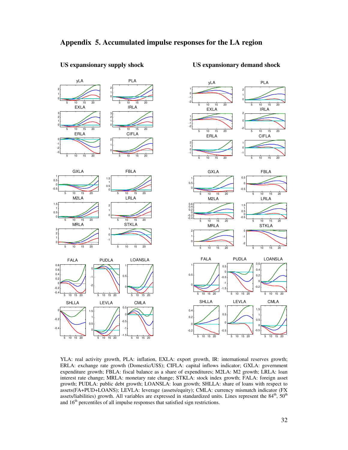![](_page_32_Figure_1.jpeg)

#### **US expansionary supply shock US expansionary demand shock**

YLA: real activity growth, PLA: inflation, EXLA: export growth, IR: international reserves growth; ERLA: exchange rate growth (Domestic/US\$); CIFLA: capital inflows indicator; GXLA: government expenditure growth; FBLA: fiscal balance as a share of expenditures; M2LA: M2 growth; LRLA: loan interest rate change; MRLA: monetary rate change; STKLA: stock index growth; FALA: foreign asset growth; PUDLA: public debt growth; LOANSLA: loan growth; SHLLA: share of loans with respect to assets(FA+PUD+LOANS); LEVLA: leverage (assets/equity); CMLA: currency mismatch indicator (FX assets/liabilities) growth. All variables are expressed in standardized units. Lines represent the 84<sup>th</sup>, 50<sup>th</sup> and 16<sup>th</sup> percentiles of all impulse responses that satisfied sign restrictions.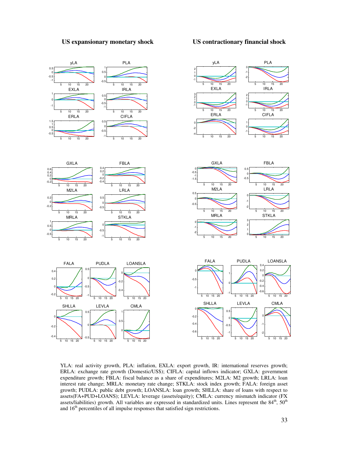#### **US expansionary monetary shock US contractionary financial shock**

![](_page_33_Figure_2.jpeg)

YLA: real activity growth, PLA: inflation, EXLA: export growth, IR: international reserves growth; ERLA: exchange rate growth (Domestic/US\$); CIFLA: capital inflows indicator; GXLA: government expenditure growth; FBLA: fiscal balance as a share of expenditures; M2LA: M2 growth; LRLA: loan interest rate change; MRLA: monetary rate change; STKLA: stock index growth; FALA: foreign asset growth; PUDLA: public debt growth; LOANSLA: loan growth; SHLLA: share of loans with respect to assets(FA+PUD+LOANS); LEVLA: leverage (assets/equity); CMLA: currency mismatch indicator (FX assets/liabilities) growth. All variables are expressed in standardized units. Lines represent the  $84<sup>th</sup>$ ,  $50<sup>th</sup>$ and 16<sup>th</sup> percentiles of all impulse responses that satisfied sign restrictions.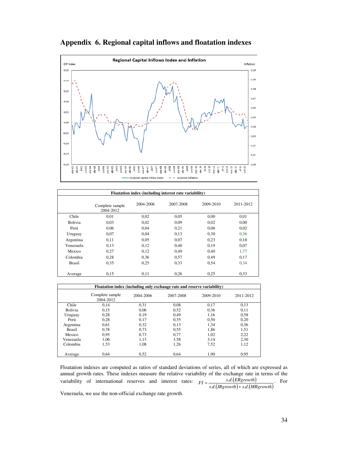![](_page_34_Figure_0.jpeg)

![](_page_34_Figure_1.jpeg)

| Floatation index (including interest rate variability) |                              |           |           |           |           |  |
|--------------------------------------------------------|------------------------------|-----------|-----------|-----------|-----------|--|
|                                                        | Complete sample<br>2004-2012 | 2004-2006 | 2007-2008 | 2009-2010 | 2011-2012 |  |
| Chile                                                  | 0.01                         | 0.02      | 0,05      | 0,00      | 0,01      |  |
| <b>Bolivia</b>                                         | 0.03                         | 0.02      | 0.09      | 0,02      | 0,00      |  |
| Perú                                                   | 0,06                         | 0.04      | 0,21      | 0,06      | 0,02      |  |
| Uruguay                                                | 0.07                         | 0.04      | 0.13      | 0,30      | 0,36      |  |
| Argentina                                              | 0.11                         | 0,05      | 0,07      | 0,23      | 0,18      |  |
| Venezuela                                              | 0.13                         | 0,12      | 0,40      | 0,19      | 0,07      |  |
| Mexico                                                 | 0,27                         | 0,12      | 0,49      | 0,40      | 1,77      |  |
| Colombia                                               | 0.28                         | 0.36      | 0.57      | 0.49      | 0.17      |  |
| <b>Brasil</b>                                          | 0.35                         | 0,25      | 0.33      | 0,54      | 0,34      |  |
| Average                                                | 0.15                         | 0,11      | 0,26      | 0,25      | 0,33      |  |

|                | Floatation index (including only exchange rate and reserve variability) |           |           |           |           |  |
|----------------|-------------------------------------------------------------------------|-----------|-----------|-----------|-----------|--|
|                | Complete sample<br>2004-2012                                            | 2004-2006 | 2007-2008 | 2009-2010 | 2011-2012 |  |
| Chile          | 0.14                                                                    | 0.31      | 0.08      | 0,17      | 0,13      |  |
| <b>Bolivia</b> | 0,15                                                                    | 0.06      | 0,52      | 0,36      | 0,11      |  |
| Uruguay        | 0,28                                                                    | 0.19      | 0.49      | 1,16      | 0.58      |  |
| Perú           | 0,28                                                                    | 0.17      | 0.35      | 0,50      | 0,20      |  |
| Argentina      | 0,61                                                                    | 0,32      | 0,13      | 1,34      | 0.36      |  |
| <b>Brasil</b>  | 0,78                                                                    | 0.73      | 0.55      | 1,86      | 1,51      |  |
| Mexico         | 0.95                                                                    | 0.73      | 0,77      | 1,02      | 2,22      |  |
| Venezuela      | 1,06                                                                    | 1,13      | 1,58      | 3,14      | 2,30      |  |
| Colombia       | 1,53                                                                    | 1,08      | 1,26      | 7,52      | 1,12      |  |
| Average        | 0.64                                                                    | 0.52      | 0.64      | 1.90      | 0.95      |  |

Floatation indexes are computed as ratios of standard deviations of series, all of which are expressed as annual growth rates. These indexes measure the relative variability of the exchange rate in terms of the variability of international reserves and interest rates:  $FI = \frac{s.d.(ERgrowth)}{s.d.(IRgrowth) + s.d.(MRgrowth)}$  $\mathcal{A}$ .  $=\frac{s.a.(ER)}{s.d.(Bgrowth)+}$ . For

Venezuela, we use the non-official exchange rate growth.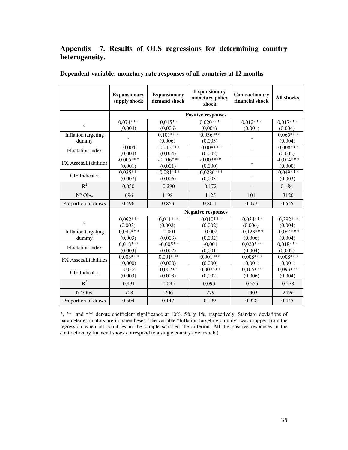# **Appendix 7. Results of OLS regressions for determining country heterogeneity.**

|                              | <b>Expansionary</b><br>supply shock | <b>Expansionary</b><br>demand shock | <b>Expansionary</b><br>monetary policy<br>shock | Contractionary<br>financial shock | <b>All shocks</b>      |  |  |  |
|------------------------------|-------------------------------------|-------------------------------------|-------------------------------------------------|-----------------------------------|------------------------|--|--|--|
|                              |                                     | <b>Positive responses</b>           |                                                 |                                   |                        |  |  |  |
| $\mathbf c$                  | $0.074***$<br>(0,004)               | $0,015**$<br>(0,006)                | $0.020***$<br>(0,004)                           | $0.012***$<br>(0,001)             | $0.017***$<br>(0,004)  |  |  |  |
| Inflation targeting<br>dummy |                                     | $0,101***$<br>(0,006)               | $0.036***$<br>(0,003)                           |                                   | $0.065***$<br>(0,004)  |  |  |  |
| <b>Floatation</b> index      | $-0,004$<br>(0,004)                 | $-0.012***$<br>(0,004)              | $-0.008***$<br>(0,002)                          |                                   | $-0.008***$<br>(0,002) |  |  |  |
| FX Assets/Liabilities        | $-0.005***$<br>(0,001)              | $-0.006***$<br>(0,001)              | $-0.003***$<br>(0,000)                          |                                   | $-0,004***$<br>(0.000) |  |  |  |
| <b>CIF</b> Indicator         | $-0.025***$<br>(0,007)              | $-0.081***$<br>(0,006)              | $-0.0286***$<br>(0,003)                         |                                   | $-0,049***$<br>(0,003) |  |  |  |
| $R^2$                        | 0.050                               | 0,290                               | 0,172                                           |                                   | 0,184                  |  |  |  |
| $N^{\circ}$ Obs.             | 696                                 | 1198                                | 1125                                            | 101                               | 3120                   |  |  |  |
| Proportion of draws          | 0.496                               | 0.853                               | 0.80.1                                          | 0.072                             | 0.555                  |  |  |  |
|                              |                                     |                                     | <b>Negative responses</b>                       |                                   |                        |  |  |  |
| $\mathbf{c}$                 | $-0.092***$<br>(0.003)              | $-0.011***$<br>(0,002)              | $-0.010***$<br>(0,002)                          | $-0.034***$<br>(0,006)            | $-0.392***$<br>(0,004) |  |  |  |
| Inflation targeting<br>dummy | $0.045***$<br>(0,003)               | $-0,001$<br>(0,003)                 | $-0,002$<br>(0,002)                             | $-0.123***$<br>(0,006)            | $-0.084***$<br>(0,004) |  |  |  |
| <b>Floatation</b> index      | $0,018***$<br>(0,003)               | $-0.005**$<br>(0,002)               | $-0,001$<br>(0,001)                             | $0,020***$<br>(0,004)             | $0.018***$<br>(0,003)  |  |  |  |
| FX Assets/Liabilities        | $0.003***$<br>(0,000)               | $0,001***$<br>(0,000)               | $0,001***$<br>(0,000)                           | $0.008***$<br>(0,001)             | $0.008***$<br>(0,001)  |  |  |  |
| <b>CIF</b> Indicator         | $-0.004$<br>(0,003)                 | $0.007**$<br>(0,003)                | $0.007***$<br>(0,002)                           | $0,105***$<br>(0,006)             | $0.093***$<br>(0,004)  |  |  |  |
| $R^2$                        | 0,431                               | 0,095                               | 0,093                                           | 0,355                             | 0,278                  |  |  |  |
| $N^{\circ}$ Obs.             | 708                                 | 206                                 | 279                                             | 1303                              | 2496                   |  |  |  |
| Proportion of draws          | 0.504                               | 0.147                               | 0.199                                           | 0.928                             | 0.445                  |  |  |  |

**Dependent variable: monetary rate responses of all countries at 12 months** 

\*, \*\* and \*\*\* denote coefficient significance at 10%, 5% y 1%, respectively. Standard deviations of parameter estimators are in parentheses. The variable "Inflation targeting dummy" was dropped from the regression when all countries in the sample satisfied the criterion. All the positive responses in the contractionary financial shock correspond to a single country (Venezuela).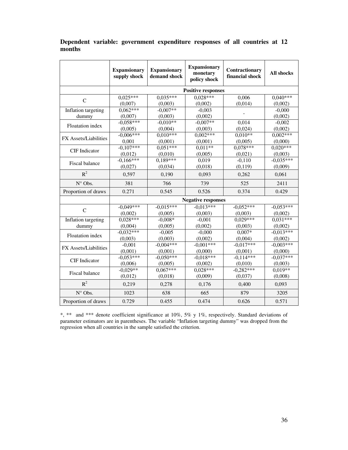|                         | <b>Expansionary</b><br>supply shock | <b>Expansionary</b><br>demand shock | <b>Expansionary</b><br>monetary<br>policy shock | Contractionary<br>financial shock | <b>All shocks</b> |  |  |
|-------------------------|-------------------------------------|-------------------------------------|-------------------------------------------------|-----------------------------------|-------------------|--|--|
|                         |                                     | <b>Positive responses</b>           |                                                 |                                   |                   |  |  |
| $\mathsf{C}$            | $0,025***$                          | $0,035***$                          | $0.028***$                                      | 0,006                             | $0.040***$        |  |  |
|                         | (0,007)                             | (0,003)                             | (0,002)                                         | (0,014)                           | (0,002)           |  |  |
| Inflation targeting     | $0,062***$                          | $-0,007**$                          | $-0.003$                                        |                                   | $-0,000$          |  |  |
| dummy                   | (0,007)                             | (0,003)                             | (0,002)                                         |                                   | (0,002)           |  |  |
| Floatation index        | $-0,058***$                         | $-0.010**$                          | $-0.007**$                                      | 0,014                             | $-0,002$          |  |  |
|                         | (0,005)                             | (0,004)                             | (0,003)                                         | (0,024)                           | (0,002)           |  |  |
| FX Assets/Liabilities   | $-0.006***$                         | $0.010***$                          | $0,002***$                                      | $0.010**$                         | $0.002***$        |  |  |
|                         | 0.001                               | (0,001)                             | (0,001)                                         | (0,005)                           | (0,000)           |  |  |
| <b>CIF</b> Indicator    | $-0.107***$                         | $0.051***$                          | $0.011**$                                       | $0.078***$                        | $0.020***$        |  |  |
|                         | (0,012)                             | (0,010)                             | (0,005)                                         | (0,021)                           | (0,003)           |  |  |
| Fiscal balance          | $-0.166***$                         | $0.189***$                          | 0,019                                           | $-0.110$                          | $-0.035***$       |  |  |
|                         | (0,027)                             | (0.034)                             | (0,018)                                         | (0,119)                           | (0.009)           |  |  |
| $R^2$                   | 0.597                               | 0.190                               | 0,093                                           | 0,262                             | 0,061             |  |  |
| N° Obs.                 | 381                                 | 766                                 | 739                                             | 525                               | 2411              |  |  |
| Proportion of draws     | 0.271                               | 0.545                               | 0.526                                           | 0.374                             | 0.429             |  |  |
|                         |                                     |                                     | <b>Negative responses</b>                       |                                   |                   |  |  |
| $\mathsf{C}$            | $-0.049***$                         | $-0.015***$                         | $-0.013***$                                     | $-0.052***$                       | $-0.053***$       |  |  |
|                         | (0,002)                             | (0,005)                             | (0,003)                                         | (0,003)                           | (0,002)           |  |  |
| Inflation targeting     | $0.028***$                          | $-0.008*$                           | $-0.001$                                        | $0.029***$                        | $0.031***$        |  |  |
| dummy                   | (0,004)                             | (0,005)                             | (0,002)                                         | (0,003)                           | (0,002)           |  |  |
| <b>Floatation</b> index | $-0,032***$                         | $-0,005$                            | $-0,000$                                        | $0.007*$                          | $-0.013***$       |  |  |
|                         | (0,003)                             | (0,003)                             | (0,002)                                         | (0,004)                           | (0,002)           |  |  |
| FX Assets/Liabilities   | $-0,001$                            | $-0.004***$                         | $-0.001***$                                     | $-0.017***$                       | $-0.003***$       |  |  |
|                         | (0,001)                             | (0,001)                             | (0,000)                                         | (0,001)                           | (0,000)           |  |  |
| <b>CIF</b> Indicator    | $-0.053***$                         | $-0.050***$                         | $-0.018***$                                     | $-0.114***$                       | $-0.037***$       |  |  |
|                         | (0,006)                             | (0.005)                             | (0,002)                                         | (0,010)                           | (0.003)           |  |  |
| Fiscal balance          | $-0.029**$                          | $0.067***$                          | $0,028***$                                      | $-0,282***$                       | $0.019**$         |  |  |
|                         | (0,012)                             | (0,018)                             | (0,009)                                         | (0,037)                           | (0,008)           |  |  |
| $R^2$                   | 0,219                               | 0,278                               | 0,176                                           | 0,400                             | 0,093             |  |  |
| N° Obs.                 | 1023                                | 638                                 | 665                                             | 879                               | 3205              |  |  |
| Proportion of draws     | 0.729                               | 0.455                               | 0.474                                           | 0.626                             | 0.571             |  |  |

# **Dependent variable: government expenditure responses of all countries at 12 months**

\*, \*\* and \*\*\* denote coefficient significance at 10%, 5% y 1%, respectively. Standard deviations of parameter estimators are in parentheses. The variable "Inflation targeting dummy" was dropped from the regression when all countries in the sample satisfied the criterion.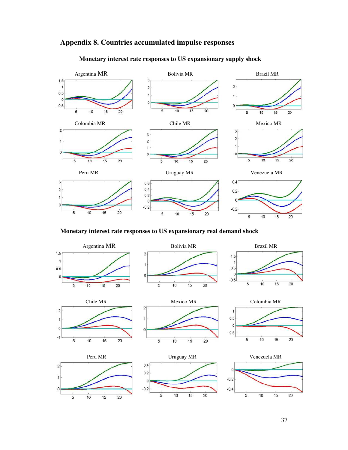![](_page_37_Figure_0.jpeg)

# **Appendix 8. Countries accumulated impulse responses**

**Monetary interest rate responses to US expansionary supply shock** 

**Monetary interest rate responses to US expansionary real demand shock** 

![](_page_37_Figure_4.jpeg)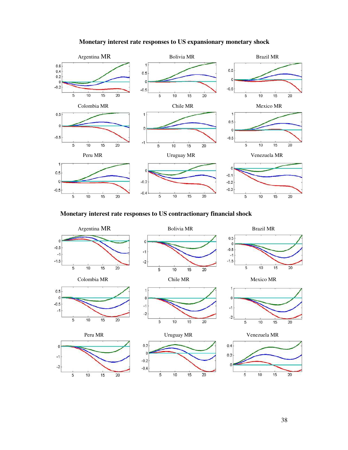![](_page_38_Figure_0.jpeg)

# **Monetary interest rate responses to US expansionary monetary shock**

**Monetary interest rate responses to US contractionary financial shock** 

![](_page_38_Figure_3.jpeg)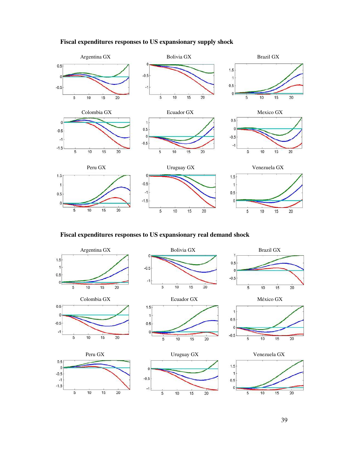![](_page_39_Figure_0.jpeg)

#### **Fiscal expenditures responses to US expansionary supply shock**

**Fiscal expenditures responses to US expansionary real demand shock** 

![](_page_39_Figure_3.jpeg)